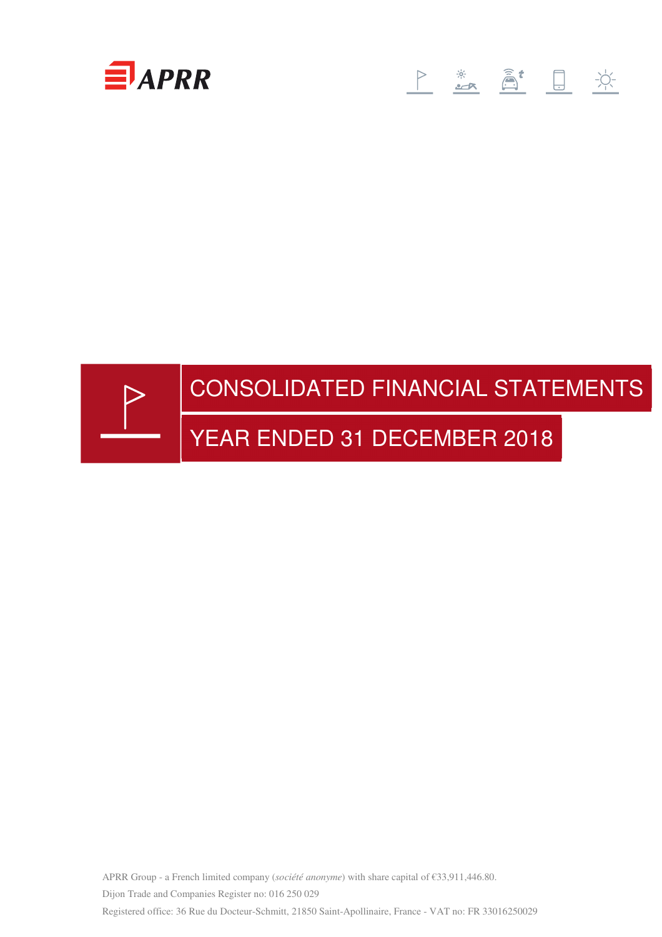

# 



APRR Group - a French limited company (*société anonyme*) with share capital of €33,911,446.80. Dijon Trade and Companies Register no: 016 250 029 Registered office: 36 Rue du Docteur-Schmitt, 21850 Saint-Apollinaire, France - VAT no: FR 33016250029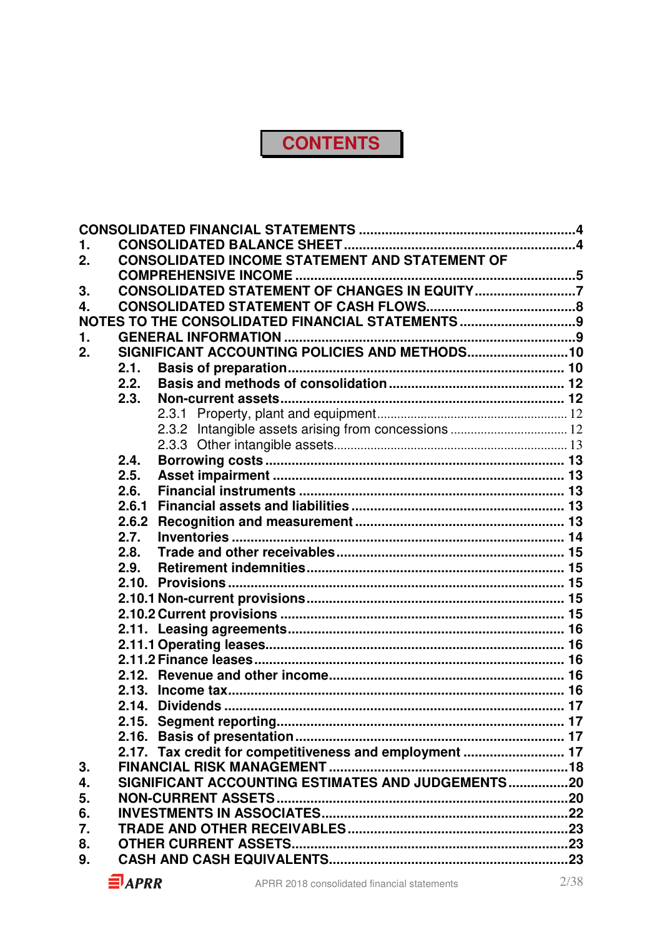## **CONTENTS**

| 1. |       |                                                         |  |
|----|-------|---------------------------------------------------------|--|
| 2. |       | CONSOLIDATED INCOME STATEMENT AND STATEMENT OF          |  |
|    |       |                                                         |  |
| 3. |       | CONSOLIDATED STATEMENT OF CHANGES IN EQUITY7            |  |
| 4. |       |                                                         |  |
|    |       | NOTES TO THE CONSOLIDATED FINANCIAL STATEMENTS 9        |  |
| 1. |       |                                                         |  |
| 2. |       | SIGNIFICANT ACCOUNTING POLICIES AND METHODS 10          |  |
|    | 2.1.  |                                                         |  |
|    | 2.2.  |                                                         |  |
|    | 2.3.  |                                                         |  |
|    |       |                                                         |  |
|    |       |                                                         |  |
|    |       |                                                         |  |
|    | 2.4.  |                                                         |  |
|    | 2.5.  |                                                         |  |
|    | 2.6.  |                                                         |  |
|    | 2.6.1 |                                                         |  |
|    | 2.6.2 |                                                         |  |
|    | 2.7.  |                                                         |  |
|    | 2.8.  |                                                         |  |
|    | 2.9.  |                                                         |  |
|    |       |                                                         |  |
|    |       |                                                         |  |
|    |       |                                                         |  |
|    |       |                                                         |  |
|    |       |                                                         |  |
|    |       |                                                         |  |
|    |       |                                                         |  |
|    |       |                                                         |  |
|    |       |                                                         |  |
|    |       |                                                         |  |
|    |       |                                                         |  |
| 3. |       | 2.17. Tax credit for competitiveness and employment  17 |  |
| 4. |       | SIGNIFICANT ACCOUNTING ESTIMATES AND JUDGEMENTS20       |  |
| 5. |       |                                                         |  |
| 6. |       |                                                         |  |
| 7. |       |                                                         |  |
| 8. |       |                                                         |  |
| 9. |       |                                                         |  |
|    |       |                                                         |  |

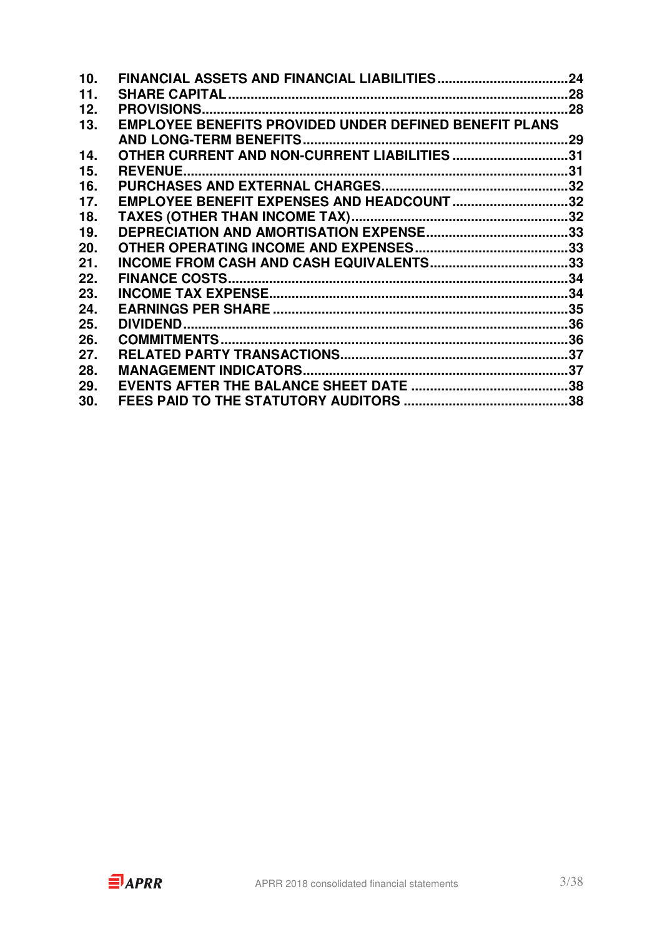| 10. |                                                               | 24 |
|-----|---------------------------------------------------------------|----|
| 11. |                                                               |    |
| 12. |                                                               |    |
| 13. | <b>EMPLOYEE BENEFITS PROVIDED UNDER DEFINED BENEFIT PLANS</b> |    |
|     |                                                               | 29 |
| 14. | OTHER CURRENT AND NON-CURRENT LIABILITIES 31                  |    |
| 15. |                                                               |    |
| 16. |                                                               |    |
| 17. | EMPLOYEE BENEFIT EXPENSES AND HEADCOUNT32                     |    |
| 18. |                                                               |    |
| 19. |                                                               |    |
| 20. |                                                               |    |
| 21. |                                                               |    |
| 22. |                                                               |    |
| 23. |                                                               |    |
| 24. |                                                               |    |
| 25. |                                                               |    |
| 26. |                                                               |    |
| 27. |                                                               |    |
| 28. |                                                               |    |
| 29. |                                                               |    |
| 30. |                                                               |    |
|     |                                                               |    |

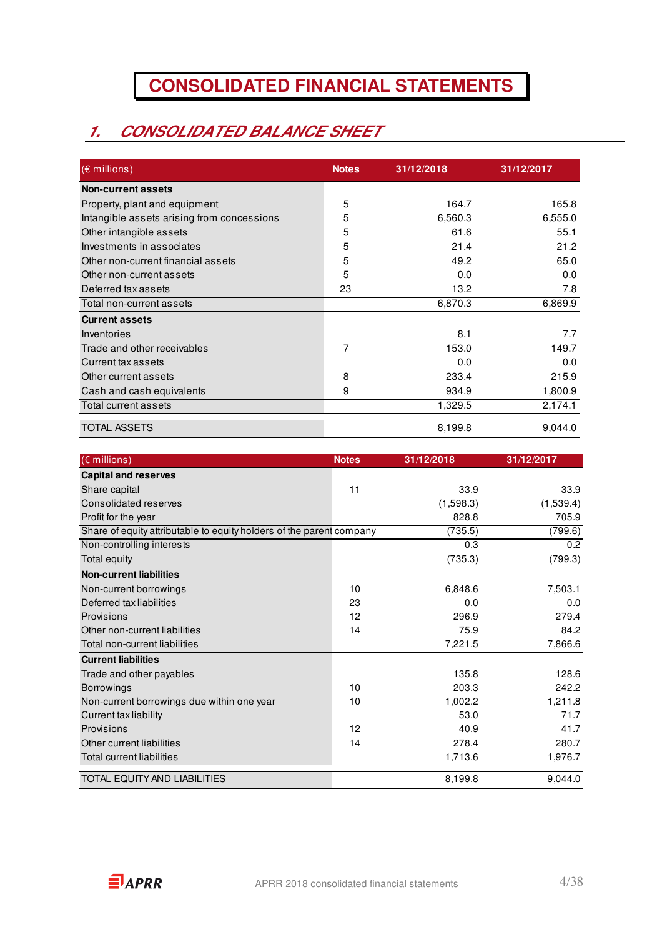## **CONSOLIDATED FINANCIAL STATEMENTS**

## **1. CONSOLIDATED BALANCE SHEET**

| $(\epsilon$ millions)                      | <b>Notes</b> | 31/12/2018 | 31/12/2017 |
|--------------------------------------------|--------------|------------|------------|
| <b>Non-current assets</b>                  |              |            |            |
| Property, plant and equipment              | 5            | 164.7      | 165.8      |
| Intangible assets arising from concessions | 5            | 6,560.3    | 6,555.0    |
| Other intangible assets                    | 5            | 61.6       | 55.1       |
| Investments in associates                  | 5            | 21.4       | 21.2       |
| Other non-current financial assets         | 5            | 49.2       | 65.0       |
| Other non-current assets                   | 5            | 0.0        | 0.0        |
| Deferred tax assets                        | 23           | 13.2       | 7.8        |
| Total non-current assets                   |              | 6,870.3    | 6,869.9    |
| <b>Current assets</b>                      |              |            |            |
| Inventories                                |              | 8.1        | 7.7        |
| Trade and other receivables                | 7            | 153.0      | 149.7      |
| Current tax assets                         |              | 0.0        | 0.0        |
| Other current assets                       | 8            | 233.4      | 215.9      |
| Cash and cash equivalents                  | 9            | 934.9      | 1,800.9    |
| Total current assets                       |              | 1,329.5    | 2,174.1    |
| <b>TOTAL ASSETS</b>                        |              | 8,199.8    | 9,044.0    |

| $(\epsilon$ millions)                                                | <b>Notes</b> | 31/12/2018 | 31/12/2017 |
|----------------------------------------------------------------------|--------------|------------|------------|
| <b>Capital and reserves</b>                                          |              |            |            |
| Share capital                                                        | 11           | 33.9       | 33.9       |
| Consolidated reserves                                                |              | (1,598.3)  | (1,539.4)  |
| Profit for the year                                                  |              | 828.8      | 705.9      |
| Share of equity attributable to equity holders of the parent company |              | (735.5)    | (799.6)    |
| Non-controlling interests                                            |              | 0.3        | 0.2        |
| Total equity                                                         |              | (735.3)    | (799.3)    |
| <b>Non-current liabilities</b>                                       |              |            |            |
| Non-current borrowings                                               | 10           | 6,848.6    | 7,503.1    |
| Deferred tax liabilities                                             | 23           | 0.0        | 0.0        |
| Provisions                                                           | 12           | 296.9      | 279.4      |
| Other non-current liabilities                                        | 14           | 75.9       | 84.2       |
| Total non-current liabilities                                        |              | 7,221.5    | 7,866.6    |
| <b>Current liabilities</b>                                           |              |            |            |
| Trade and other payables                                             |              | 135.8      | 128.6      |
| <b>Borrowings</b>                                                    | 10           | 203.3      | 242.2      |
| Non-current borrowings due within one year                           | 10           | 1,002.2    | 1,211.8    |
| Current tax liability                                                |              | 53.0       | 71.7       |
| Provisions                                                           | 12           | 40.9       | 41.7       |
| Other current liabilities                                            | 14           | 278.4      | 280.7      |
| Total current liabilities                                            |              | 1,713.6    | 1,976.7    |
| TOTAL EQUITY AND LIABILITIES                                         |              | 8,199.8    | 9,044.0    |

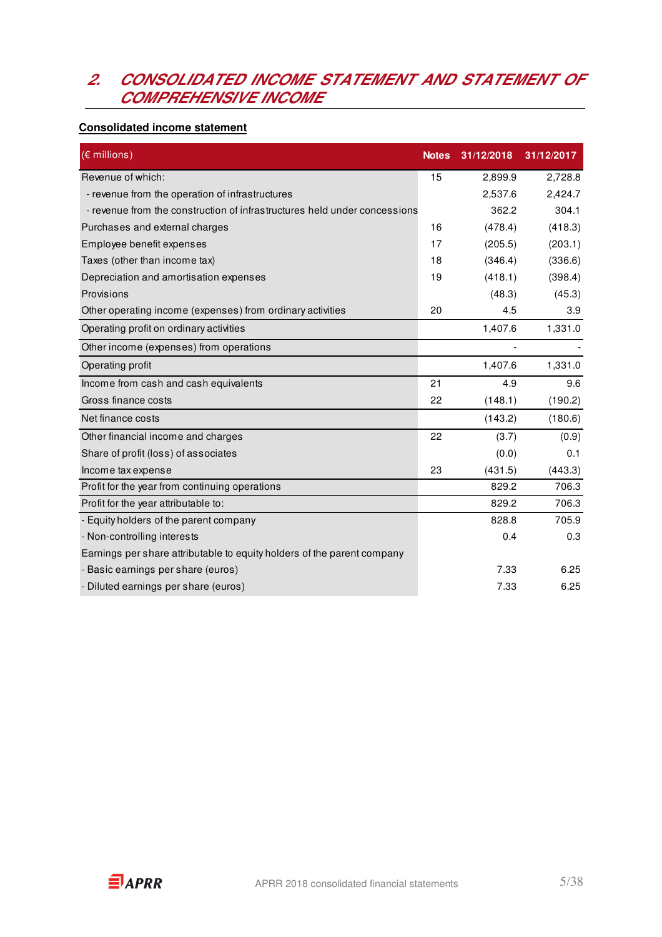### **2. CONSOLIDATED INCOME STATEMENT AND STATEMENT OF COMPREHENSIVE INCOME**

#### **Consolidated income statement**

| $(E$ millions)                                                            | <b>Notes</b> | 31/12/2018 | 31/12/2017 |
|---------------------------------------------------------------------------|--------------|------------|------------|
| Revenue of which:                                                         | 15           | 2,899.9    | 2,728.8    |
| - revenue from the operation of infrastructures                           |              | 2,537.6    | 2,424.7    |
| - revenue from the construction of infrastructures held under concessions |              | 362.2      | 304.1      |
| Purchases and external charges                                            | 16           | (478.4)    | (418.3)    |
| Employee benefit expenses                                                 | 17           | (205.5)    | (203.1)    |
| Taxes (other than income tax)                                             | 18           | (346.4)    | (336.6)    |
| Depreciation and amortisation expenses                                    | 19           | (418.1)    | (398.4)    |
| Provisions                                                                |              | (48.3)     | (45.3)     |
| Other operating income (expenses) from ordinary activities                | 20           | 4.5        | 3.9        |
| Operating profit on ordinary activities                                   |              | 1,407.6    | 1,331.0    |
| Other income (expenses) from operations                                   |              |            |            |
| Operating profit                                                          |              | 1,407.6    | 1,331.0    |
| Income from cash and cash equivalents                                     | 21           | 4.9        | 9.6        |
| Gross finance costs                                                       | 22           | (148.1)    | (190.2)    |
| Net finance costs                                                         |              | (143.2)    | (180.6)    |
| Other financial income and charges                                        | 22           | (3.7)      | (0.9)      |
| Share of profit (loss) of associates                                      |              | (0.0)      | 0.1        |
| Income tax expense                                                        | 23           | (431.5)    | (443.3)    |
| Profit for the year from continuing operations                            |              | 829.2      | 706.3      |
| Profit for the year attributable to:                                      |              | 829.2      | 706.3      |
| - Equity holders of the parent company                                    |              | 828.8      | 705.9      |
| - Non-controlling interests                                               |              | 0.4        | 0.3        |
| Earnings per share attributable to equity holders of the parent company   |              |            |            |
| - Basic earnings per share (euros)                                        |              | 7.33       | 6.25       |
| - Diluted earnings per share (euros)                                      |              | 7.33       | 6.25       |

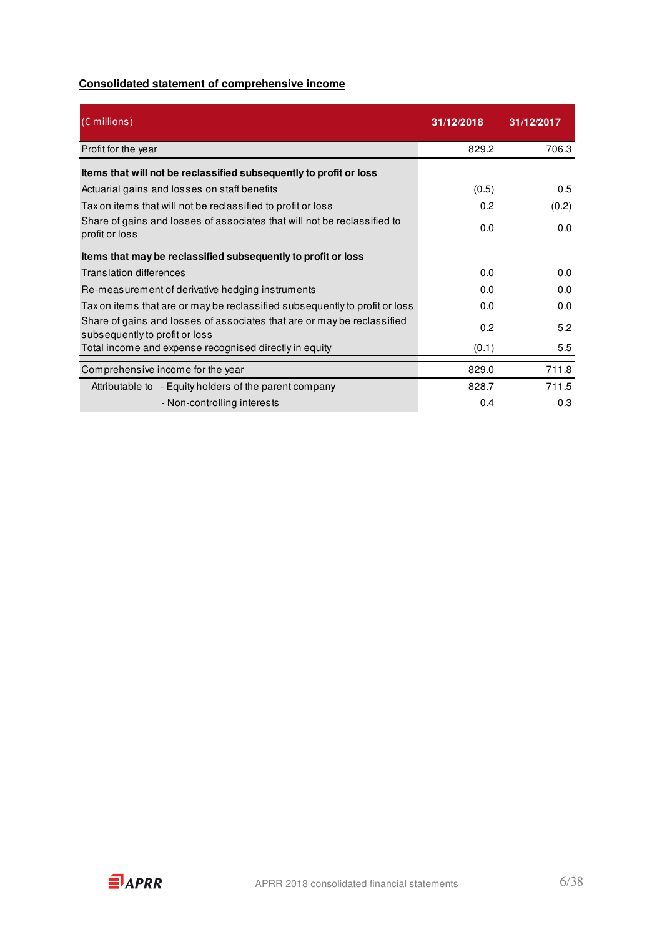### **Consolidated statement of comprehensive income**

| $(\epsilon$ millions)                                                                                     | 31/12/2018 | 31/12/2017 |
|-----------------------------------------------------------------------------------------------------------|------------|------------|
| Profit for the year                                                                                       | 829.2      | 706.3      |
| Items that will not be reclassified subsequently to profit or loss                                        |            |            |
| Actuarial gains and losses on staff benefits                                                              | (0.5)      | 0.5        |
| Tax on items that will not be reclassified to profit or loss                                              | 0.2        | (0.2)      |
| Share of gains and losses of associates that will not be reclassified to<br>profit or loss                | 0.0        | 0.0        |
| Items that may be reclassified subsequently to profit or loss                                             |            |            |
| Translation differences                                                                                   | 0.0        | 0.0        |
| Re-measurement of derivative hedging instruments                                                          | 0.0        | 0.0        |
| Tax on items that are or may be reclassified subsequently to profit or loss                               | 0.0        | 0.0        |
| Share of gains and losses of associates that are or may be reclassified<br>subsequently to profit or loss | 0.2        | 5.2        |
| Total income and expense recognised directly in equity                                                    | (0.1)      | 5.5        |
| Comprehensive income for the year                                                                         | 829.0      | 711.8      |
| Attributable to - Equity holders of the parent company                                                    | 828.7      | 711.5      |
| - Non-controlling interests                                                                               | 0.4        | 0.3        |

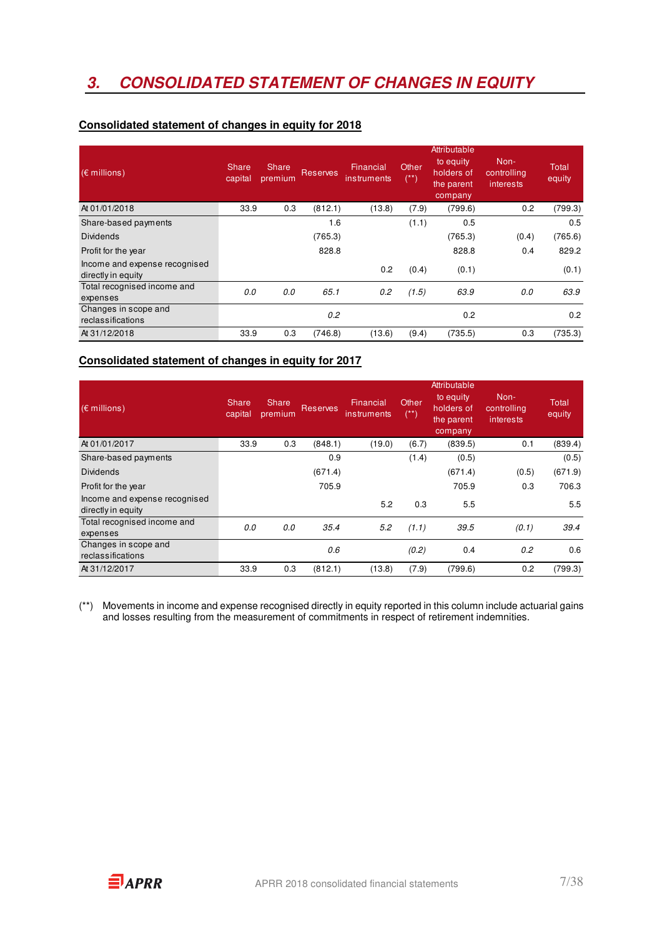## **3. CONSOLIDATED STATEMENT OF CHANGES IN EQUITY**

| $(\epsilon$ millions)                               | Share<br>capital | Share,<br>premium | <b>Reserves</b> | Financial<br>instruments | Other<br>$(**)$ | Attributable<br>to equity<br>holders of<br>the parent<br>company | Non-<br>controlling<br>interests | Total<br>equity |
|-----------------------------------------------------|------------------|-------------------|-----------------|--------------------------|-----------------|------------------------------------------------------------------|----------------------------------|-----------------|
| At 01/01/2018                                       | 33.9             | 0.3               | (812.1)         | (13.8)                   | (7.9)           | (799.6)                                                          | 0.2                              | (799.3)         |
| Share-based payments                                |                  |                   | 1.6             |                          | (1.1)           | 0.5                                                              |                                  | 0.5             |
| <b>Dividends</b>                                    |                  |                   | (765.3)         |                          |                 | (765.3)                                                          | (0.4)                            | (765.6)         |
| Profit for the year                                 |                  |                   | 828.8           |                          |                 | 828.8                                                            | 0.4                              | 829.2           |
| Income and expense recognised<br>directly in equity |                  |                   |                 | 0.2                      | (0.4)           | (0.1)                                                            |                                  | (0.1)           |
| Total recognised income and                         | 0.0              | 0.0               | 65.1            | 0.2                      | (1.5)           | 63.9                                                             | 0.0                              | 63.9            |
| expenses                                            |                  |                   |                 |                          |                 |                                                                  |                                  |                 |
| Changes in scope and                                |                  |                   | 0.2             |                          |                 | 0.2                                                              |                                  | 0.2             |
| reclassifications                                   |                  |                   |                 |                          |                 |                                                                  |                                  |                 |
| At 31/12/2018                                       | 33.9             | 0.3               | (746.8)         | (13.6)                   | (9.4)           | (735.5)                                                          | 0.3                              | (735.3)         |

#### **Consolidated statement of changes in equity for 2018**

### **Consolidated statement of changes in equity for 2017**

| $(\epsilon$ millions)                               | Share<br>capital | Share<br>premium | <b>Reserves</b> | Financial<br><i>instruments</i> | Other<br>(**) | Attributable<br>to equity<br>holders of<br>the parent<br>company | Non-<br>controlling<br><i>interests</i> | Total<br>equity |
|-----------------------------------------------------|------------------|------------------|-----------------|---------------------------------|---------------|------------------------------------------------------------------|-----------------------------------------|-----------------|
| At 01/01/2017                                       | 33.9             | 0.3              | (848.1)         | (19.0)                          | (6.7)         | (839.5)                                                          | 0.1                                     | (839.4)         |
| Share-based payments                                |                  |                  | 0.9             |                                 | (1.4)         | (0.5)                                                            |                                         | (0.5)           |
| <b>Dividends</b>                                    |                  |                  | (671.4)         |                                 |               | (671.4)                                                          | (0.5)                                   | (671.9)         |
| Profit for the year                                 |                  |                  | 705.9           |                                 |               | 705.9                                                            | 0.3                                     | 706.3           |
| Income and expense recognised<br>directly in equity |                  |                  |                 | 5.2                             | 0.3           | 5.5                                                              |                                         | 5.5             |
| Total recognised income and<br>expenses             | 0.0              | 0.0              | 35.4            | 5.2                             | (1.1)         | 39.5                                                             | (0.1)                                   | 39.4            |
| Changes in scope and<br>reclassifications           |                  |                  | 0.6             |                                 | (0.2)         | 0.4                                                              | 0.2                                     | 0.6             |
| At 31/12/2017                                       | 33.9             | 0.3              | (812.1)         | (13.8)                          | (7.9)         | (799.6)                                                          | 0.2                                     | (799.3)         |

(\*\*) Movements in income and expense recognised directly in equity reported in this column include actuarial gains and losses resulting from the measurement of commitments in respect of retirement indemnities.

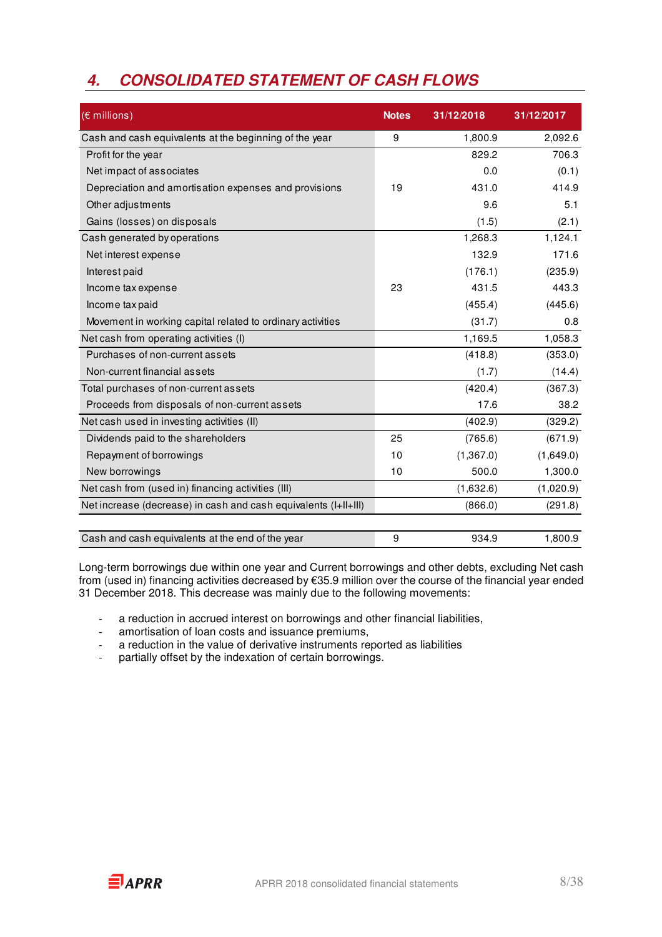## **4. CONSOLIDATED STATEMENT OF CASH FLOWS**

| (€ millions)                                                    | <b>Notes</b> | 31/12/2018 | 31/12/2017 |
|-----------------------------------------------------------------|--------------|------------|------------|
| Cash and cash equivalents at the beginning of the year          | 9            | 1,800.9    | 2,092.6    |
| Profit for the year                                             |              | 829.2      | 706.3      |
| Net impact of associates                                        |              | 0.0        | (0.1)      |
| Depreciation and amortisation expenses and provisions           | 19           | 431.0      | 414.9      |
| Other adjustments                                               |              | 9.6        | 5.1        |
| Gains (losses) on disposals                                     |              | (1.5)      | (2.1)      |
| Cash generated by operations                                    |              | 1,268.3    | 1,124.1    |
| Net interest expense                                            |              | 132.9      | 171.6      |
| Interest paid                                                   |              | (176.1)    | (235.9)    |
| Income tax expense                                              | 23           | 431.5      | 443.3      |
| Income tax paid                                                 |              | (455.4)    | (445.6)    |
| Movement in working capital related to ordinary activities      |              | (31.7)     | 0.8        |
| Net cash from operating activities (I)                          |              | 1,169.5    | 1,058.3    |
| Purchases of non-current assets                                 |              | (418.8)    | (353.0)    |
| Non-current financial assets                                    |              | (1.7)      | (14.4)     |
| Total purchases of non-current assets                           |              | (420.4)    | (367.3)    |
| Proceeds from disposals of non-current assets                   |              | 17.6       | 38.2       |
| Net cash used in investing activities (II)                      |              | (402.9)    | (329.2)    |
| Dividends paid to the shareholders                              | 25           | (765.6)    | (671.9)    |
| Repayment of borrowings                                         | 10           | (1,367.0)  | (1,649.0)  |
| New borrowings                                                  | 10           | 500.0      | 1,300.0    |
| Net cash from (used in) financing activities (III)              |              | (1,632.6)  | (1,020.9)  |
| Net increase (decrease) in cash and cash equivalents (I+II+III) |              | (866.0)    | (291.8)    |
|                                                                 |              |            |            |
| Cash and cash equivalents at the end of the year                | 9            | 934.9      | 1,800.9    |

Long-term borrowings due within one year and Current borrowings and other debts, excluding Net cash from (used in) financing activities decreased by €35.9 million over the course of the financial year ended 31 December 2018. This decrease was mainly due to the following movements:

- a reduction in accrued interest on borrowings and other financial liabilities,
- amortisation of loan costs and issuance premiums,
- a reduction in the value of derivative instruments reported as liabilities
- partially offset by the indexation of certain borrowings.

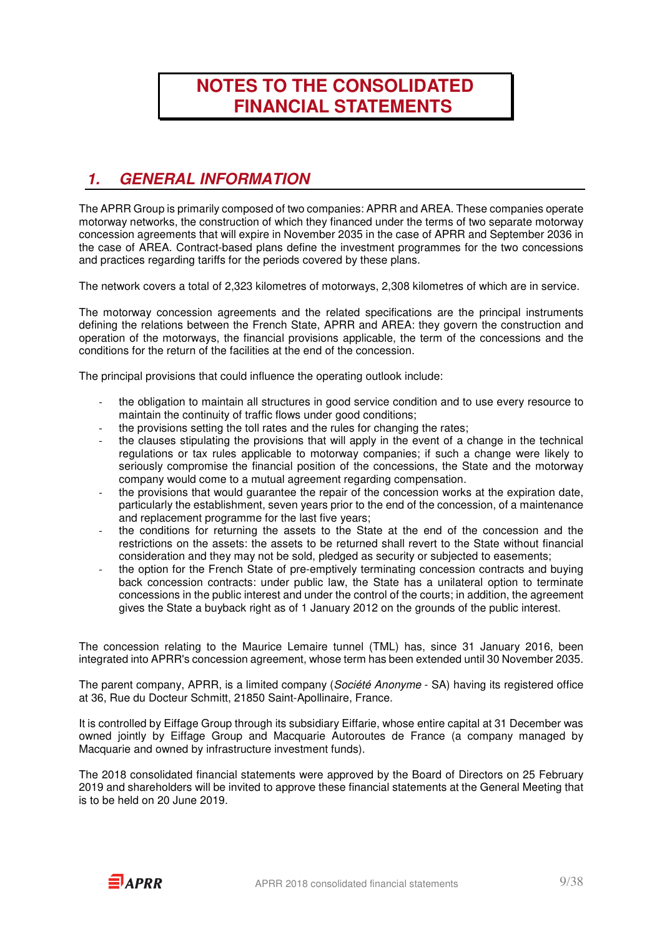## **NOTES TO THE CONSOLIDATED FINANCIAL STATEMENTS**

### **1. GENERAL INFORMATION**

The APRR Group is primarily composed of two companies: APRR and AREA. These companies operate motorway networks, the construction of which they financed under the terms of two separate motorway concession agreements that will expire in November 2035 in the case of APRR and September 2036 in the case of AREA. Contract-based plans define the investment programmes for the two concessions and practices regarding tariffs for the periods covered by these plans.

The network covers a total of 2,323 kilometres of motorways, 2,308 kilometres of which are in service.

The motorway concession agreements and the related specifications are the principal instruments defining the relations between the French State, APRR and AREA: they govern the construction and operation of the motorways, the financial provisions applicable, the term of the concessions and the conditions for the return of the facilities at the end of the concession.

The principal provisions that could influence the operating outlook include:

- the obligation to maintain all structures in good service condition and to use every resource to maintain the continuity of traffic flows under good conditions;
- the provisions setting the toll rates and the rules for changing the rates;
- the clauses stipulating the provisions that will apply in the event of a change in the technical regulations or tax rules applicable to motorway companies; if such a change were likely to seriously compromise the financial position of the concessions, the State and the motorway company would come to a mutual agreement regarding compensation.
- the provisions that would guarantee the repair of the concession works at the expiration date, particularly the establishment, seven years prior to the end of the concession, of a maintenance and replacement programme for the last five years;
- the conditions for returning the assets to the State at the end of the concession and the restrictions on the assets: the assets to be returned shall revert to the State without financial consideration and they may not be sold, pledged as security or subjected to easements;
- the option for the French State of pre-emptively terminating concession contracts and buying back concession contracts: under public law, the State has a unilateral option to terminate concessions in the public interest and under the control of the courts; in addition, the agreement gives the State a buyback right as of 1 January 2012 on the grounds of the public interest.

The concession relating to the Maurice Lemaire tunnel (TML) has, since 31 January 2016, been integrated into APRR's concession agreement, whose term has been extended until 30 November 2035.

The parent company, APRR, is a limited company (Société Anonyme - SA) having its registered office at 36, Rue du Docteur Schmitt, 21850 Saint-Apollinaire, France.

It is controlled by Eiffage Group through its subsidiary Eiffarie, whose entire capital at 31 December was owned jointly by Eiffage Group and Macquarie Autoroutes de France (a company managed by Macquarie and owned by infrastructure investment funds).

The 2018 consolidated financial statements were approved by the Board of Directors on 25 February 2019 and shareholders will be invited to approve these financial statements at the General Meeting that is to be held on 20 June 2019.

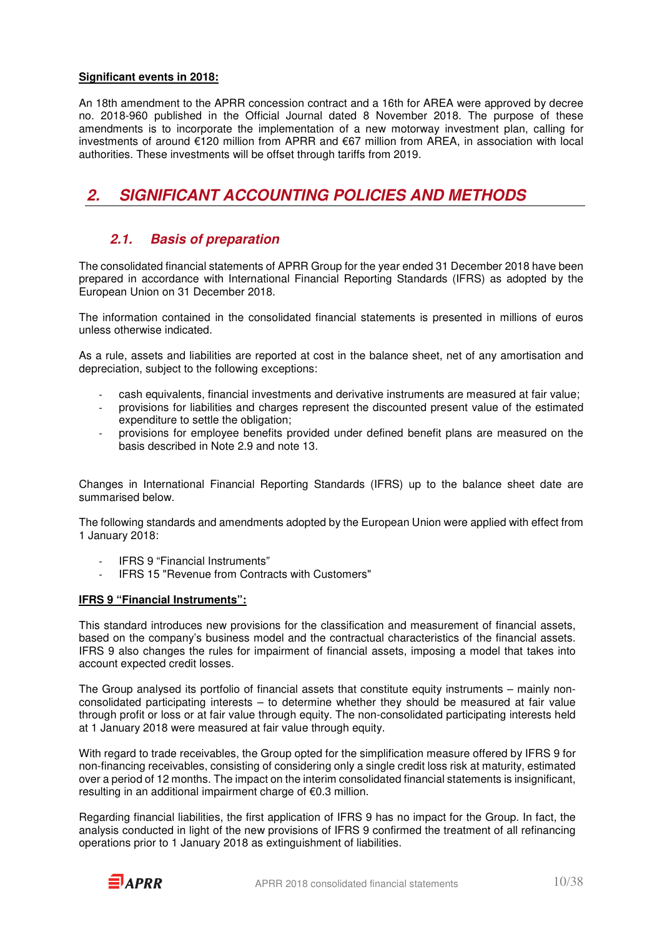#### **Significant events in 2018:**

An 18th amendment to the APRR concession contract and a 16th for AREA were approved by decree no. 2018-960 published in the Official Journal dated 8 November 2018. The purpose of these amendments is to incorporate the implementation of a new motorway investment plan, calling for investments of around €120 million from APRR and €67 million from AREA, in association with local authorities. These investments will be offset through tariffs from 2019.

## **2. SIGNIFICANT ACCOUNTING POLICIES AND METHODS**

### **2.1. Basis of preparation**

The consolidated financial statements of APRR Group for the year ended 31 December 2018 have been prepared in accordance with International Financial Reporting Standards (IFRS) as adopted by the European Union on 31 December 2018.

The information contained in the consolidated financial statements is presented in millions of euros unless otherwise indicated.

As a rule, assets and liabilities are reported at cost in the balance sheet, net of any amortisation and depreciation, subject to the following exceptions:

- cash equivalents, financial investments and derivative instruments are measured at fair value;
- provisions for liabilities and charges represent the discounted present value of the estimated expenditure to settle the obligation;
- provisions for employee benefits provided under defined benefit plans are measured on the basis described in Note 2.9 and note 13.

Changes in International Financial Reporting Standards (IFRS) up to the balance sheet date are summarised below.

The following standards and amendments adopted by the European Union were applied with effect from 1 January 2018:

- IFRS 9 "Financial Instruments"
- IFRS 15 "Revenue from Contracts with Customers"

#### **IFRS 9 "Financial Instruments":**

This standard introduces new provisions for the classification and measurement of financial assets, based on the company's business model and the contractual characteristics of the financial assets. IFRS 9 also changes the rules for impairment of financial assets, imposing a model that takes into account expected credit losses.

The Group analysed its portfolio of financial assets that constitute equity instruments – mainly nonconsolidated participating interests – to determine whether they should be measured at fair value through profit or loss or at fair value through equity. The non-consolidated participating interests held at 1 January 2018 were measured at fair value through equity.

With regard to trade receivables, the Group opted for the simplification measure offered by IFRS 9 for non-financing receivables, consisting of considering only a single credit loss risk at maturity, estimated over a period of 12 months. The impact on the interim consolidated financial statements is insignificant, resulting in an additional impairment charge of €0.3 million.

Regarding financial liabilities, the first application of IFRS 9 has no impact for the Group. In fact, the analysis conducted in light of the new provisions of IFRS 9 confirmed the treatment of all refinancing operations prior to 1 January 2018 as extinguishment of liabilities.

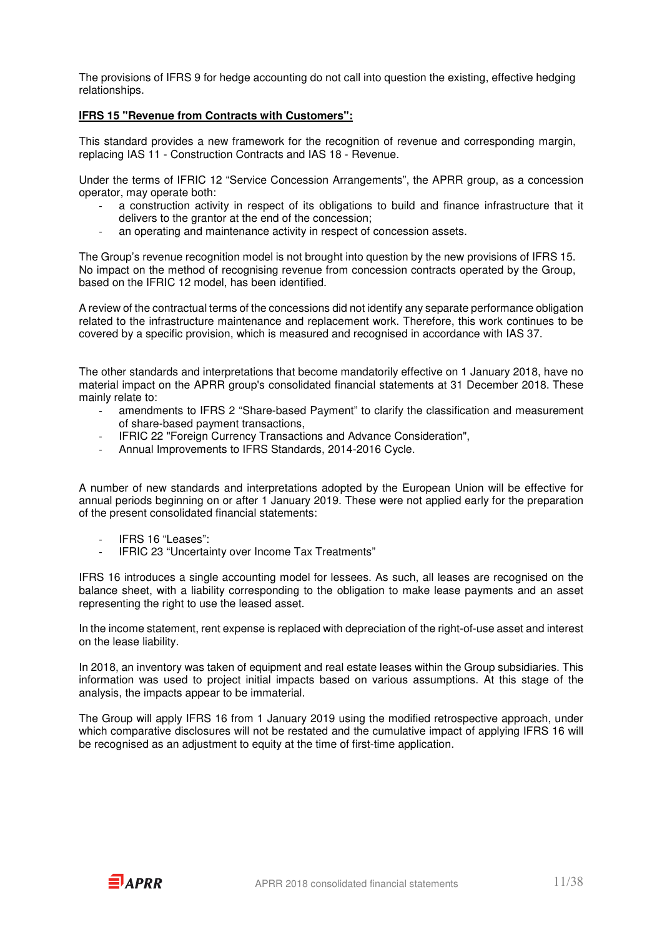The provisions of IFRS 9 for hedge accounting do not call into question the existing, effective hedging relationships.

#### **IFRS 15 "Revenue from Contracts with Customers":**

This standard provides a new framework for the recognition of revenue and corresponding margin, replacing IAS 11 - Construction Contracts and IAS 18 - Revenue.

Under the terms of IFRIC 12 "Service Concession Arrangements", the APRR group, as a concession operator, may operate both:

- a construction activity in respect of its obligations to build and finance infrastructure that it delivers to the grantor at the end of the concession;
- an operating and maintenance activity in respect of concession assets.

The Group's revenue recognition model is not brought into question by the new provisions of IFRS 15. No impact on the method of recognising revenue from concession contracts operated by the Group, based on the IFRIC 12 model, has been identified.

A review of the contractual terms of the concessions did not identify any separate performance obligation related to the infrastructure maintenance and replacement work. Therefore, this work continues to be covered by a specific provision, which is measured and recognised in accordance with IAS 37.

The other standards and interpretations that become mandatorily effective on 1 January 2018, have no material impact on the APRR group's consolidated financial statements at 31 December 2018. These mainly relate to:

- amendments to IFRS 2 "Share-based Payment" to clarify the classification and measurement of share-based payment transactions,
- IFRIC 22 "Foreign Currency Transactions and Advance Consideration",
- Annual Improvements to IFRS Standards, 2014-2016 Cycle.

A number of new standards and interpretations adopted by the European Union will be effective for annual periods beginning on or after 1 January 2019. These were not applied early for the preparation of the present consolidated financial statements:

- IFRS 16 "Leases":
- IFRIC 23 "Uncertainty over Income Tax Treatments"

IFRS 16 introduces a single accounting model for lessees. As such, all leases are recognised on the balance sheet, with a liability corresponding to the obligation to make lease payments and an asset representing the right to use the leased asset.

In the income statement, rent expense is replaced with depreciation of the right-of-use asset and interest on the lease liability.

In 2018, an inventory was taken of equipment and real estate leases within the Group subsidiaries. This information was used to project initial impacts based on various assumptions. At this stage of the analysis, the impacts appear to be immaterial.

The Group will apply IFRS 16 from 1 January 2019 using the modified retrospective approach, under which comparative disclosures will not be restated and the cumulative impact of applying IFRS 16 will be recognised as an adjustment to equity at the time of first-time application.

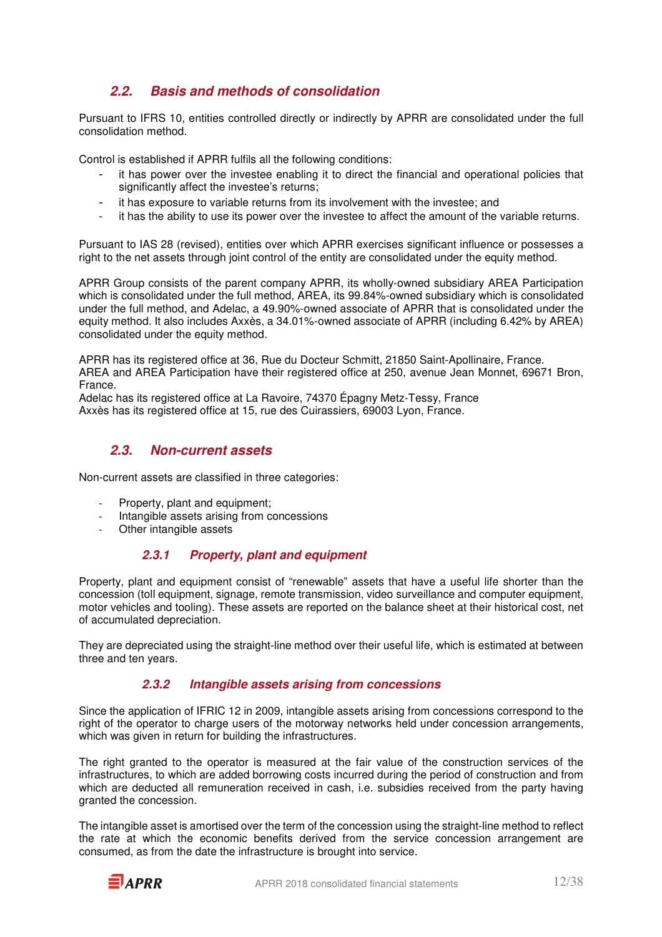### **2.2. Basis and methods of consolidation**

Pursuant to IFRS 10, entities controlled directly or indirectly by APRR are consolidated under the full consolidation method.

Control is established if APRR fulfils all the following conditions:

- it has power over the investee enabling it to direct the financial and operational policies that significantly affect the investee's returns;
- it has exposure to variable returns from its involvement with the investee; and
- it has the ability to use its power over the investee to affect the amount of the variable returns.

Pursuant to IAS 28 (revised), entities over which APRR exercises significant influence or possesses a right to the net assets through joint control of the entity are consolidated under the equity method.

APRR Group consists of the parent company APRR, its wholly-owned subsidiary AREA Participation which is consolidated under the full method, AREA, its 99.84%-owned subsidiary which is consolidated under the full method, and Adelac, a 49.90%-owned associate of APRR that is consolidated under the equity method. It also includes Axxès, a 34.01%-owned associate of APRR (including 6.42% by AREA) consolidated under the equity method.

APRR has its registered office at 36, Rue du Docteur Schmitt, 21850 Saint-Apollinaire, France. AREA and AREA Participation have their registered office at 250, avenue Jean Monnet, 69671 Bron, France.

Adelac has its registered office at La Ravoire, 74370 Épagny Metz-Tessy, France Axxès has its registered office at 15, rue des Cuirassiers, 69003 Lyon, France.

### **2.3. Non-current assets**

Non-current assets are classified in three categories:

- Property, plant and equipment;
- Intangible assets arising from concessions
- Other intangible assets

#### **2.3.1 Property, plant and equipment**

Property, plant and equipment consist of "renewable" assets that have a useful life shorter than the concession (toll equipment, signage, remote transmission, video surveillance and computer equipment, motor vehicles and tooling). These assets are reported on the balance sheet at their historical cost, net of accumulated depreciation.

They are depreciated using the straight-line method over their useful life, which is estimated at between three and ten years.

#### **2.3.2 Intangible assets arising from concessions**

Since the application of IFRIC 12 in 2009, intangible assets arising from concessions correspond to the right of the operator to charge users of the motorway networks held under concession arrangements, which was given in return for building the infrastructures.

The right granted to the operator is measured at the fair value of the construction services of the infrastructures, to which are added borrowing costs incurred during the period of construction and from which are deducted all remuneration received in cash, i.e. subsidies received from the party having granted the concession.

The intangible asset is amortised over the term of the concession using the straight-line method to reflect the rate at which the economic benefits derived from the service concession arrangement are consumed, as from the date the infrastructure is brought into service.

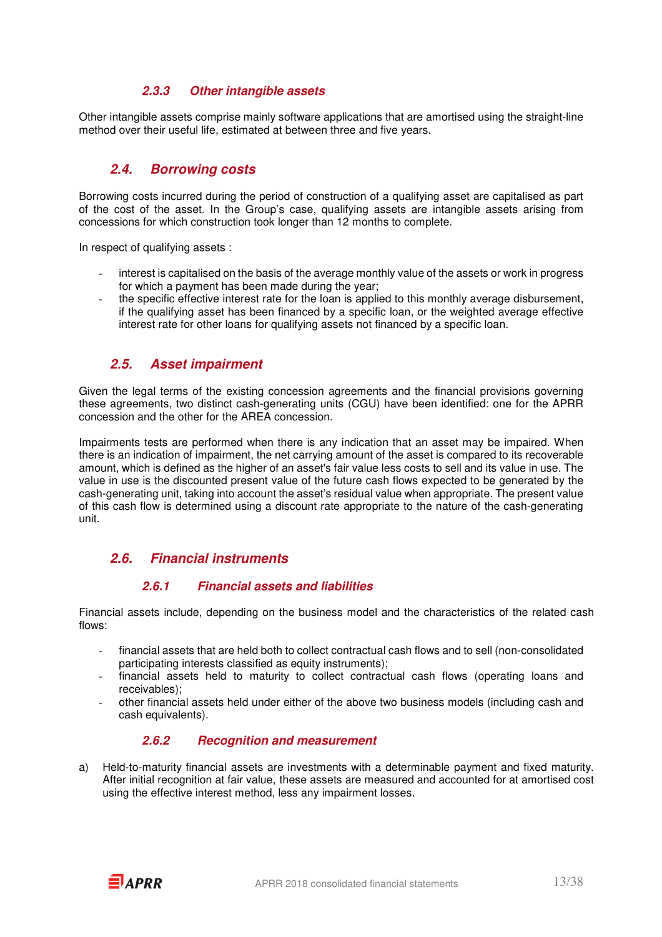#### **2.3.3 Other intangible assets**

Other intangible assets comprise mainly software applications that are amortised using the straight-line method over their useful life, estimated at between three and five years.

### **2.4. Borrowing costs**

Borrowing costs incurred during the period of construction of a qualifying asset are capitalised as part of the cost of the asset. In the Group's case, qualifying assets are intangible assets arising from concessions for which construction took longer than 12 months to complete.

In respect of qualifying assets :

- interest is capitalised on the basis of the average monthly value of the assets or work in progress for which a payment has been made during the year;
- the specific effective interest rate for the loan is applied to this monthly average disbursement, if the qualifying asset has been financed by a specific loan, or the weighted average effective interest rate for other loans for qualifying assets not financed by a specific loan.

### **2.5. Asset impairment**

Given the legal terms of the existing concession agreements and the financial provisions governing these agreements, two distinct cash-generating units (CGU) have been identified: one for the APRR concession and the other for the AREA concession.

Impairments tests are performed when there is any indication that an asset may be impaired. When there is an indication of impairment, the net carrying amount of the asset is compared to its recoverable amount, which is defined as the higher of an asset's fair value less costs to sell and its value in use. The value in use is the discounted present value of the future cash flows expected to be generated by the cash-generating unit, taking into account the asset's residual value when appropriate. The present value of this cash flow is determined using a discount rate appropriate to the nature of the cash-generating unit.

### **2.6. Financial instruments**

#### **2.6.1 Financial assets and liabilities**

Financial assets include, depending on the business model and the characteristics of the related cash flows:

- financial assets that are held both to collect contractual cash flows and to sell (non-consolidated participating interests classified as equity instruments);
- financial assets held to maturity to collect contractual cash flows (operating loans and receivables);
- other financial assets held under either of the above two business models (including cash and cash equivalents).

#### **2.6.2 Recognition and measurement**

a) Held-to-maturity financial assets are investments with a determinable payment and fixed maturity. After initial recognition at fair value, these assets are measured and accounted for at amortised cost using the effective interest method, less any impairment losses.

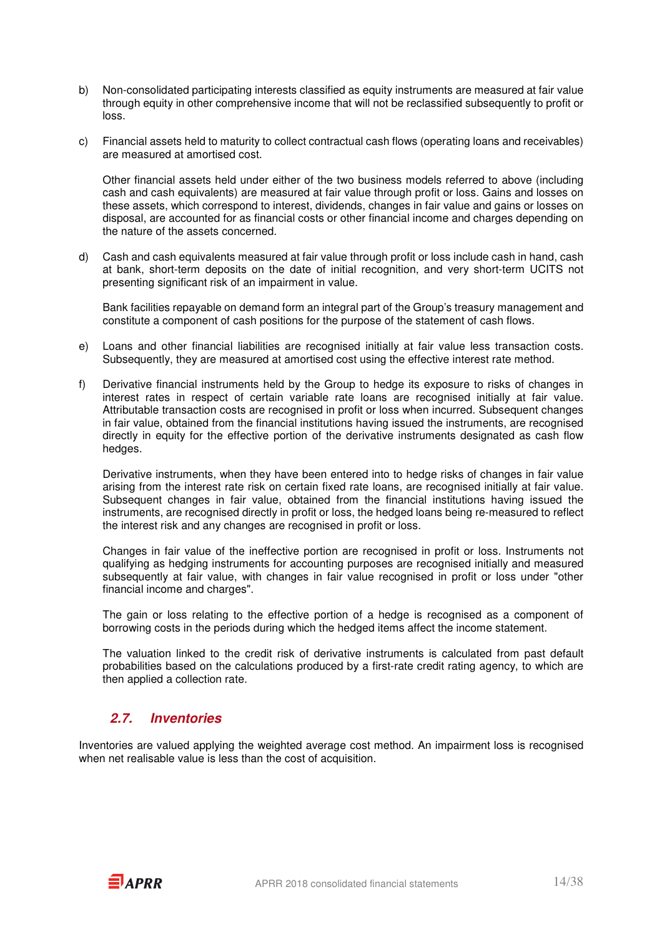- b) Non-consolidated participating interests classified as equity instruments are measured at fair value through equity in other comprehensive income that will not be reclassified subsequently to profit or loss.
- c) Financial assets held to maturity to collect contractual cash flows (operating loans and receivables) are measured at amortised cost.

Other financial assets held under either of the two business models referred to above (including cash and cash equivalents) are measured at fair value through profit or loss. Gains and losses on these assets, which correspond to interest, dividends, changes in fair value and gains or losses on disposal, are accounted for as financial costs or other financial income and charges depending on the nature of the assets concerned.

d) Cash and cash equivalents measured at fair value through profit or loss include cash in hand, cash at bank, short-term deposits on the date of initial recognition, and very short-term UCITS not presenting significant risk of an impairment in value.

Bank facilities repayable on demand form an integral part of the Group's treasury management and constitute a component of cash positions for the purpose of the statement of cash flows.

- e) Loans and other financial liabilities are recognised initially at fair value less transaction costs. Subsequently, they are measured at amortised cost using the effective interest rate method.
- f) Derivative financial instruments held by the Group to hedge its exposure to risks of changes in interest rates in respect of certain variable rate loans are recognised initially at fair value. Attributable transaction costs are recognised in profit or loss when incurred. Subsequent changes in fair value, obtained from the financial institutions having issued the instruments, are recognised directly in equity for the effective portion of the derivative instruments designated as cash flow hedges.

Derivative instruments, when they have been entered into to hedge risks of changes in fair value arising from the interest rate risk on certain fixed rate loans, are recognised initially at fair value. Subsequent changes in fair value, obtained from the financial institutions having issued the instruments, are recognised directly in profit or loss, the hedged loans being re-measured to reflect the interest risk and any changes are recognised in profit or loss.

 Changes in fair value of the ineffective portion are recognised in profit or loss. Instruments not qualifying as hedging instruments for accounting purposes are recognised initially and measured subsequently at fair value, with changes in fair value recognised in profit or loss under "other financial income and charges".

 The gain or loss relating to the effective portion of a hedge is recognised as a component of borrowing costs in the periods during which the hedged items affect the income statement.

The valuation linked to the credit risk of derivative instruments is calculated from past default probabilities based on the calculations produced by a first-rate credit rating agency, to which are then applied a collection rate.

### **2.7. Inventories**

Inventories are valued applying the weighted average cost method. An impairment loss is recognised when net realisable value is less than the cost of acquisition.

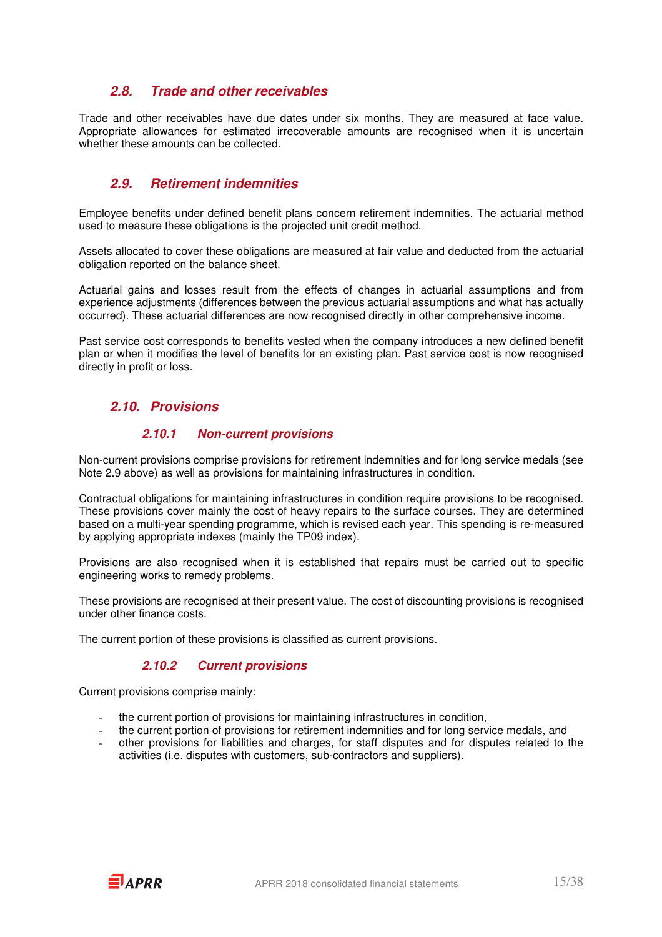### **2.8. Trade and other receivables**

Trade and other receivables have due dates under six months. They are measured at face value. Appropriate allowances for estimated irrecoverable amounts are recognised when it is uncertain whether these amounts can be collected.

### **2.9. Retirement indemnities**

Employee benefits under defined benefit plans concern retirement indemnities. The actuarial method used to measure these obligations is the projected unit credit method.

Assets allocated to cover these obligations are measured at fair value and deducted from the actuarial obligation reported on the balance sheet.

Actuarial gains and losses result from the effects of changes in actuarial assumptions and from experience adjustments (differences between the previous actuarial assumptions and what has actually occurred). These actuarial differences are now recognised directly in other comprehensive income.

Past service cost corresponds to benefits vested when the company introduces a new defined benefit plan or when it modifies the level of benefits for an existing plan. Past service cost is now recognised directly in profit or loss.

### **2.10. Provisions**

#### **2.10.1 Non-current provisions**

Non-current provisions comprise provisions for retirement indemnities and for long service medals (see Note 2.9 above) as well as provisions for maintaining infrastructures in condition.

Contractual obligations for maintaining infrastructures in condition require provisions to be recognised. These provisions cover mainly the cost of heavy repairs to the surface courses. They are determined based on a multi-year spending programme, which is revised each year. This spending is re-measured by applying appropriate indexes (mainly the TP09 index).

Provisions are also recognised when it is established that repairs must be carried out to specific engineering works to remedy problems.

These provisions are recognised at their present value. The cost of discounting provisions is recognised under other finance costs.

The current portion of these provisions is classified as current provisions.

#### **2.10.2 Current provisions**

Current provisions comprise mainly:

- the current portion of provisions for maintaining infrastructures in condition,
- the current portion of provisions for retirement indemnities and for long service medals, and
- other provisions for liabilities and charges, for staff disputes and for disputes related to the activities (i.e. disputes with customers, sub-contractors and suppliers).

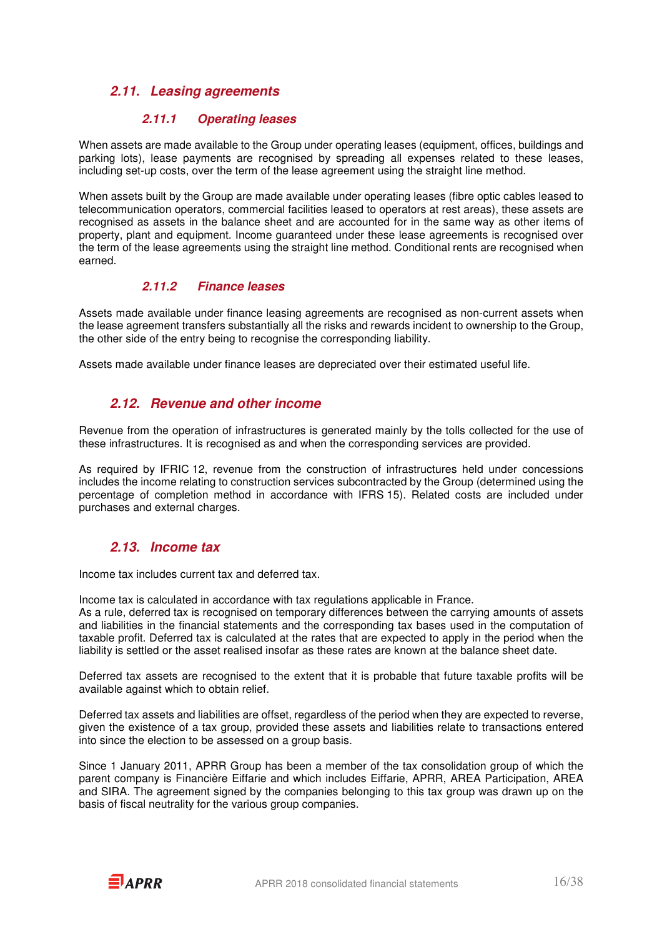### **2.11. Leasing agreements**

#### **2.11.1 Operating leases**

When assets are made available to the Group under operating leases (equipment, offices, buildings and parking lots), lease payments are recognised by spreading all expenses related to these leases, including set-up costs, over the term of the lease agreement using the straight line method.

When assets built by the Group are made available under operating leases (fibre optic cables leased to telecommunication operators, commercial facilities leased to operators at rest areas), these assets are recognised as assets in the balance sheet and are accounted for in the same way as other items of property, plant and equipment. Income guaranteed under these lease agreements is recognised over the term of the lease agreements using the straight line method. Conditional rents are recognised when earned.

#### **2.11.2 Finance leases**

Assets made available under finance leasing agreements are recognised as non-current assets when the lease agreement transfers substantially all the risks and rewards incident to ownership to the Group, the other side of the entry being to recognise the corresponding liability.

Assets made available under finance leases are depreciated over their estimated useful life.

### **2.12. Revenue and other income**

Revenue from the operation of infrastructures is generated mainly by the tolls collected for the use of these infrastructures. It is recognised as and when the corresponding services are provided.

As required by IFRIC 12, revenue from the construction of infrastructures held under concessions includes the income relating to construction services subcontracted by the Group (determined using the percentage of completion method in accordance with IFRS 15). Related costs are included under purchases and external charges.

### **2.13. Income tax**

Income tax includes current tax and deferred tax.

Income tax is calculated in accordance with tax regulations applicable in France.

As a rule, deferred tax is recognised on temporary differences between the carrying amounts of assets and liabilities in the financial statements and the corresponding tax bases used in the computation of taxable profit. Deferred tax is calculated at the rates that are expected to apply in the period when the liability is settled or the asset realised insofar as these rates are known at the balance sheet date.

Deferred tax assets are recognised to the extent that it is probable that future taxable profits will be available against which to obtain relief.

Deferred tax assets and liabilities are offset, regardless of the period when they are expected to reverse, given the existence of a tax group, provided these assets and liabilities relate to transactions entered into since the election to be assessed on a group basis.

Since 1 January 2011, APRR Group has been a member of the tax consolidation group of which the parent company is Financière Eiffarie and which includes Eiffarie, APRR, AREA Participation, AREA and SIRA. The agreement signed by the companies belonging to this tax group was drawn up on the basis of fiscal neutrality for the various group companies.

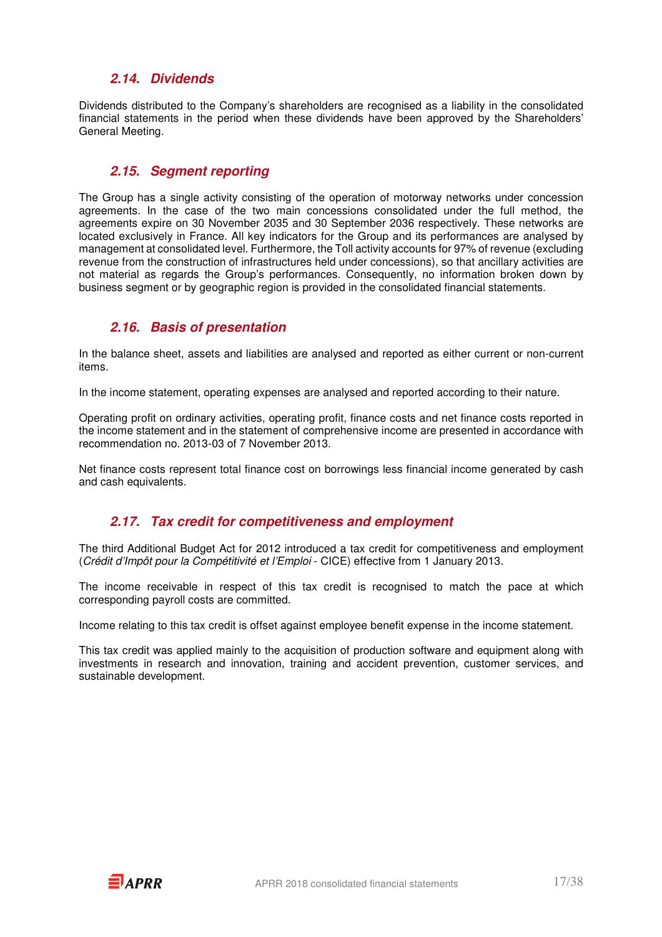### **2.14. Dividends**

Dividends distributed to the Company's shareholders are recognised as a liability in the consolidated financial statements in the period when these dividends have been approved by the Shareholders' General Meeting.

### **2.15. Segment reporting**

The Group has a single activity consisting of the operation of motorway networks under concession agreements. In the case of the two main concessions consolidated under the full method, the agreements expire on 30 November 2035 and 30 September 2036 respectively. These networks are located exclusively in France. All key indicators for the Group and its performances are analysed by management at consolidated level. Furthermore, the Toll activity accounts for 97% of revenue (excluding revenue from the construction of infrastructures held under concessions), so that ancillary activities are not material as regards the Group's performances. Consequently, no information broken down by business segment or by geographic region is provided in the consolidated financial statements.

### **2.16. Basis of presentation**

In the balance sheet, assets and liabilities are analysed and reported as either current or non-current items.

In the income statement, operating expenses are analysed and reported according to their nature.

Operating profit on ordinary activities, operating profit, finance costs and net finance costs reported in the income statement and in the statement of comprehensive income are presented in accordance with recommendation no. 2013-03 of 7 November 2013.

Net finance costs represent total finance cost on borrowings less financial income generated by cash and cash equivalents.

### **2.17. Tax credit for competitiveness and employment**

The third Additional Budget Act for 2012 introduced a tax credit for competitiveness and employment (Crédit d'Impôt pour la Compétitivité et l'Emploi - CICE) effective from 1 January 2013.

The income receivable in respect of this tax credit is recognised to match the pace at which corresponding payroll costs are committed.

Income relating to this tax credit is offset against employee benefit expense in the income statement.

This tax credit was applied mainly to the acquisition of production software and equipment along with investments in research and innovation, training and accident prevention, customer services, and sustainable development.

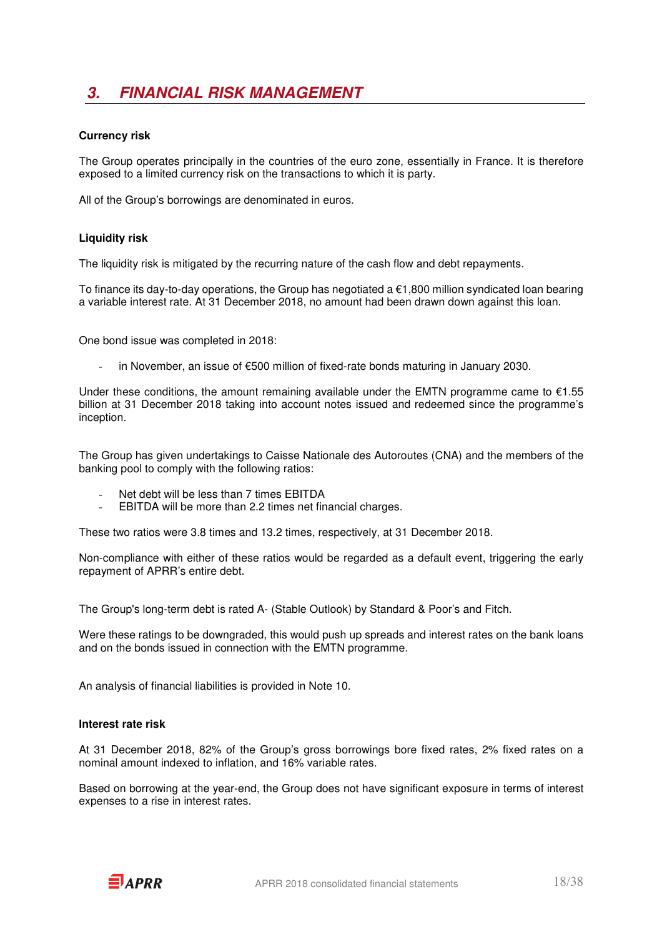## **3. FINANCIAL RISK MANAGEMENT**

#### **Currency risk**

The Group operates principally in the countries of the euro zone, essentially in France. It is therefore exposed to a limited currency risk on the transactions to which it is party.

All of the Group's borrowings are denominated in euros.

#### **Liquidity risk**

The liquidity risk is mitigated by the recurring nature of the cash flow and debt repayments.

To finance its day-to-day operations, the Group has negotiated a  $\epsilon$ 1,800 million syndicated loan bearing a variable interest rate. At 31 December 2018, no amount had been drawn down against this loan.

One bond issue was completed in 2018:

in November, an issue of €500 million of fixed-rate bonds maturing in January 2030.

Under these conditions, the amount remaining available under the EMTN programme came to  $€1.55$ billion at 31 December 2018 taking into account notes issued and redeemed since the programme's inception.

The Group has given undertakings to Caisse Nationale des Autoroutes (CNA) and the members of the banking pool to comply with the following ratios:

- Net debt will be less than 7 times EBITDA
- EBITDA will be more than 2.2 times net financial charges.

These two ratios were 3.8 times and 13.2 times, respectively, at 31 December 2018.

Non-compliance with either of these ratios would be regarded as a default event, triggering the early repayment of APRR's entire debt.

The Group's long-term debt is rated A- (Stable Outlook) by Standard & Poor's and Fitch.

Were these ratings to be downgraded, this would push up spreads and interest rates on the bank loans and on the bonds issued in connection with the EMTN programme.

An analysis of financial liabilities is provided in Note 10.

#### **Interest rate risk**

At 31 December 2018, 82% of the Group's gross borrowings bore fixed rates, 2% fixed rates on a nominal amount indexed to inflation, and 16% variable rates.

Based on borrowing at the year-end, the Group does not have significant exposure in terms of interest expenses to a rise in interest rates.

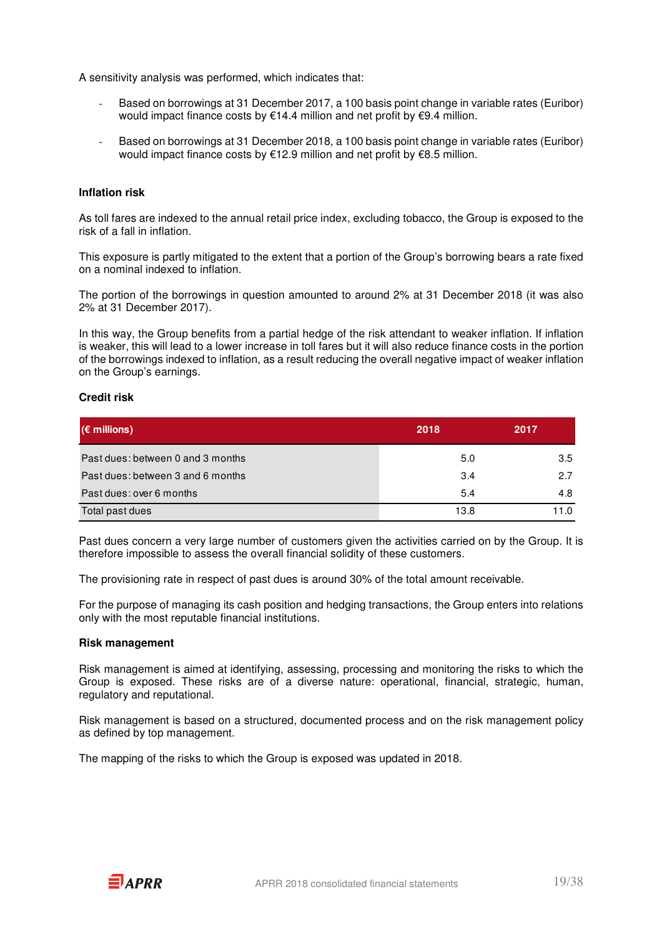A sensitivity analysis was performed, which indicates that:

- Based on borrowings at 31 December 2017, a 100 basis point change in variable rates (Euribor) would impact finance costs by €14.4 million and net profit by €9.4 million.
- Based on borrowings at 31 December 2018, a 100 basis point change in variable rates (Euribor) would impact finance costs by €12.9 million and net profit by €8.5 million.

#### **Inflation risk**

As toll fares are indexed to the annual retail price index, excluding tobacco, the Group is exposed to the risk of a fall in inflation.

This exposure is partly mitigated to the extent that a portion of the Group's borrowing bears a rate fixed on a nominal indexed to inflation.

The portion of the borrowings in question amounted to around 2% at 31 December 2018 (it was also 2% at 31 December 2017).

In this way, the Group benefits from a partial hedge of the risk attendant to weaker inflation. If inflation is weaker, this will lead to a lower increase in toll fares but it will also reduce finance costs in the portion of the borrowings indexed to inflation, as a result reducing the overall negative impact of weaker inflation on the Group's earnings.

#### **Credit risk**

| $(\epsilon$ millions)             | 2018 | 2017 |
|-----------------------------------|------|------|
| Past dues: between 0 and 3 months | 5.0  | 3.5  |
| Past dues: between 3 and 6 months | 3.4  | 2.7  |
| Past dues: over 6 months          | 5.4  | 4.8  |
| Total past dues                   | 13.8 | 11.0 |

Past dues concern a very large number of customers given the activities carried on by the Group. It is therefore impossible to assess the overall financial solidity of these customers.

The provisioning rate in respect of past dues is around 30% of the total amount receivable.

For the purpose of managing its cash position and hedging transactions, the Group enters into relations only with the most reputable financial institutions.

#### **Risk management**

Risk management is aimed at identifying, assessing, processing and monitoring the risks to which the Group is exposed. These risks are of a diverse nature: operational, financial, strategic, human, regulatory and reputational.

Risk management is based on a structured, documented process and on the risk management policy as defined by top management.

The mapping of the risks to which the Group is exposed was updated in 2018.

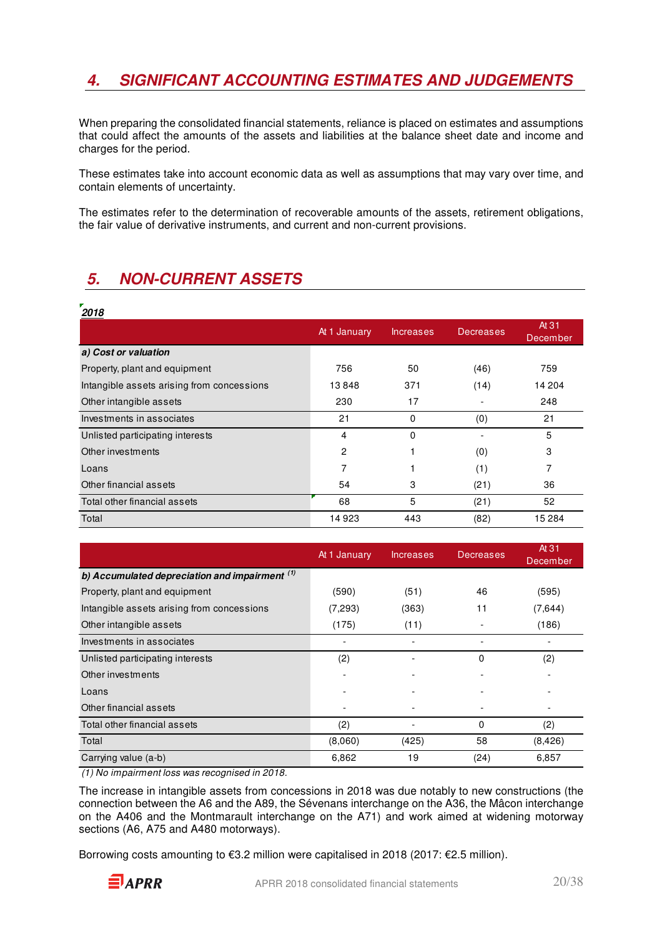## **4. SIGNIFICANT ACCOUNTING ESTIMATES AND JUDGEMENTS**

When preparing the consolidated financial statements, reliance is placed on estimates and assumptions that could affect the amounts of the assets and liabilities at the balance sheet date and income and charges for the period.

These estimates take into account economic data as well as assumptions that may vary over time, and contain elements of uncertainty.

The estimates refer to the determination of recoverable amounts of the assets, retirement obligations, the fair value of derivative instruments, and current and non-current provisions.

## **5. NON-CURRENT ASSETS**

| 2018                                       |                |                  |                  |                   |
|--------------------------------------------|----------------|------------------|------------------|-------------------|
|                                            | At 1 January   | <b>Increases</b> | <b>Decreases</b> | At 31<br>December |
| a) Cost or valuation                       |                |                  |                  |                   |
| Property, plant and equipment              | 756            | 50               | (46)             | 759               |
| Intangible assets arising from concessions | 13848          | 371              | (14)             | 14 204            |
| Other intangible assets                    | 230            | 17               |                  | 248               |
| Investments in associates                  | 21             | 0                | (0)              | 21                |
| Unlisted participating interests           | 4              | 0                |                  | 5                 |
| Other investments                          | $\overline{c}$ |                  | (0)              | 3                 |
| Loans                                      | 7              |                  | (1)              | 7                 |
| Other financial assets                     | 54             | 3                | (21)             | 36                |
| Total other financial assets               | 68             | 5                | (21)             | 52                |
| Total                                      | 14923          | 443              | (82)             | 15 2 84           |

|                                                  | At 1 January | <b>Increases</b> | <b>Decreases</b> | At 31<br>December |
|--------------------------------------------------|--------------|------------------|------------------|-------------------|
| b) Accumulated depreciation and impairment $(1)$ |              |                  |                  |                   |
| Property, plant and equipment                    | (590)        | (51)             | 46               | (595)             |
| Intangible assets arising from concessions       | (7,293)      | (363)            | 11               | (7,644)           |
| Other intangible assets                          | (175)        | (11)             |                  | (186)             |
| Investments in associates                        |              |                  |                  |                   |
| Unlisted participating interests                 | (2)          |                  | $\Omega$         | (2)               |
| Other investments                                |              |                  |                  |                   |
| Loans                                            |              |                  |                  |                   |
| Other financial assets                           |              |                  |                  |                   |
| Total other financial assets                     | (2)          |                  | $\Omega$         | (2)               |
| Total                                            | (8,060)      | (425)            | 58               | (8, 426)          |
| Carrying value (a-b)                             | 6,862        | 19               | (24)             | 6,857             |

(1) No impairment loss was recognised in 2018.

The increase in intangible assets from concessions in 2018 was due notably to new constructions (the connection between the A6 and the A89, the Sévenans interchange on the A36, the Mâcon interchange on the A406 and the Montmarault interchange on the A71) and work aimed at widening motorway sections (A6, A75 and A480 motorways).

Borrowing costs amounting to €3.2 million were capitalised in 2018 (2017: €2.5 million).

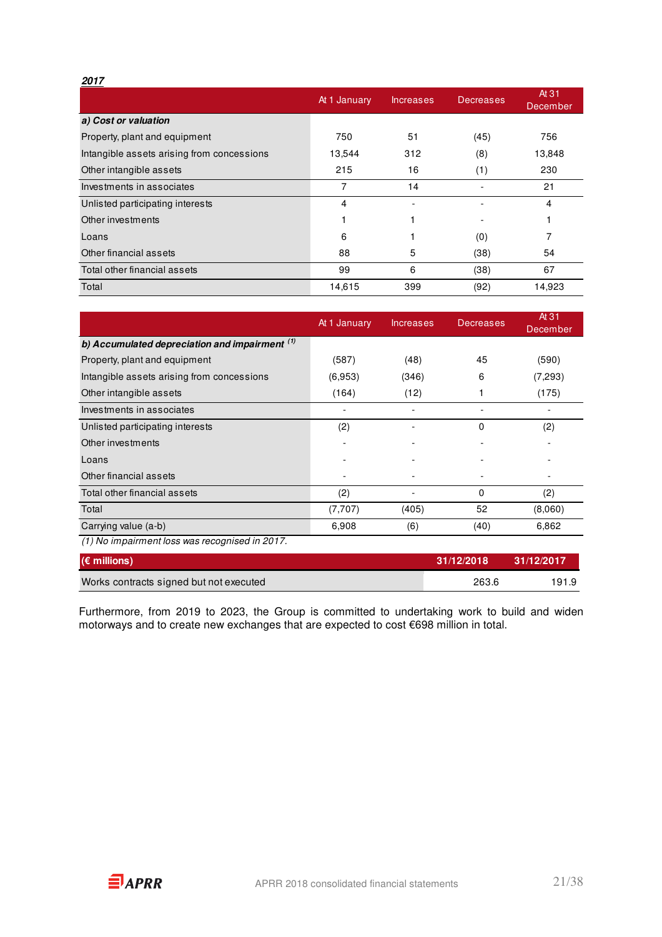#### **2017**

|                                            | At 1 January | <b>Increases</b> | Decreases | At 31<br>December |
|--------------------------------------------|--------------|------------------|-----------|-------------------|
| a) Cost or valuation                       |              |                  |           |                   |
| Property, plant and equipment              | 750          | 51               | (45)      | 756               |
| Intangible assets arising from concessions | 13,544       | 312              | (8)       | 13,848            |
| Other intangible assets                    | 215          | 16               | (1)       | 230               |
| Investments in associates                  | 7            | 14               |           | 21                |
| Unlisted participating interests           | 4            |                  |           | 4                 |
| Other investments                          |              |                  |           |                   |
| Loans                                      | 6            |                  | (0)       |                   |
| Other financial assets                     | 88           | 5                | (38)      | 54                |
| Total other financial assets               | 99           | 6                | (38)      | 67                |
| Total                                      | 14,615       | 399              | (92)      | 14,923            |

|                                                  | At 1 January | <b>Increases</b> | <b>Decreases</b> | At 31<br>December |
|--------------------------------------------------|--------------|------------------|------------------|-------------------|
| b) Accumulated depreciation and impairment $(1)$ |              |                  |                  |                   |
| Property, plant and equipment                    | (587)        | (48)             | 45               | (590)             |
| Intangible assets arising from concessions       | (6,953)      | (346)            | 6                | (7,293)           |
| Other intangible assets                          | (164)        | (12)             |                  | (175)             |
| Investments in associates                        |              | -                |                  |                   |
| Unlisted participating interests                 | (2)          |                  | $\Omega$         | (2)               |
| Other investments                                |              |                  |                  |                   |
| Loans                                            |              |                  |                  |                   |
| Other financial assets                           |              |                  |                  |                   |
| Total other financial assets                     | (2)          |                  | 0                | (2)               |
| Total                                            | (7,707)      | (405)            | 52               | (8,060)           |
| Carrying value (a-b)                             | 6,908        | (6)              | (40)             | 6,862             |
| (1) No impairment loss was recognised in 2017.   |              |                  |                  |                   |
| $(\epsilon$ millions)                            |              |                  | 31/12/2018       | 31/12/2017        |

Works contracts signed but not executed 263.6 191.9

Furthermore, from 2019 to 2023, the Group is committed to undertaking work to build and widen motorways and to create new exchanges that are expected to cost €698 million in total.

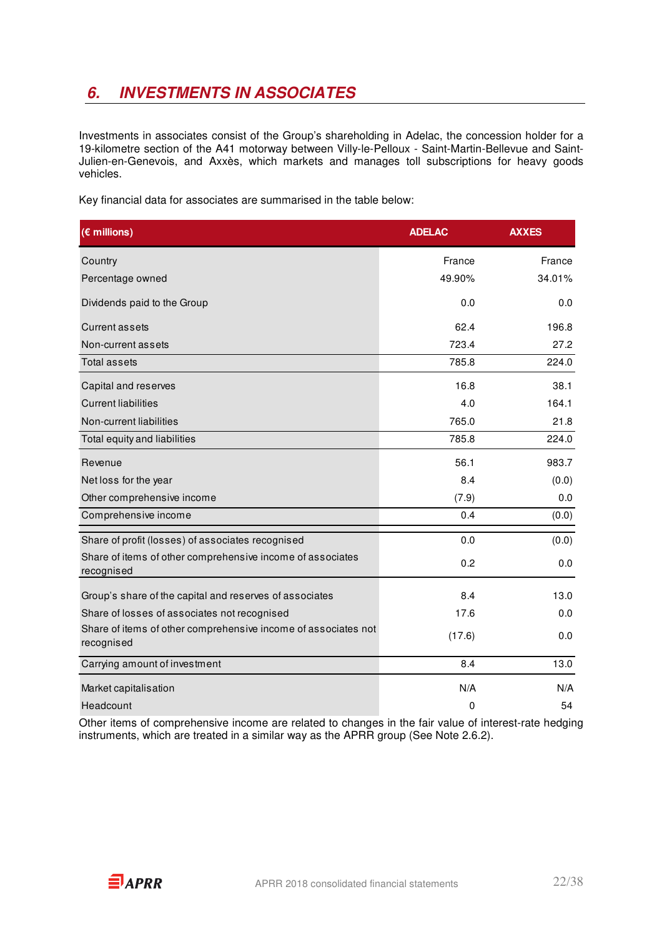## **6. INVESTMENTS IN ASSOCIATES**

Investments in associates consist of the Group's shareholding in Adelac, the concession holder for a 19-kilometre section of the A41 motorway between Villy-le-Pelloux - Saint-Martin-Bellevue and Saint-Julien-en-Genevois, and Axxès, which markets and manages toll subscriptions for heavy goods vehicles.

Key financial data for associates are summarised in the table below:

| $(\epsilon$ millions)                                                        | <b>ADELAC</b> | <b>AXXES</b> |
|------------------------------------------------------------------------------|---------------|--------------|
| Country                                                                      | France        | France       |
| Percentage owned                                                             | 49.90%        | 34.01%       |
| Dividends paid to the Group                                                  | 0.0           | 0.0          |
| <b>Current assets</b>                                                        | 62.4          | 196.8        |
| Non-current assets                                                           | 723.4         | 27.2         |
| <b>Total assets</b>                                                          | 785.8         | 224.0        |
| Capital and reserves                                                         | 16.8          | 38.1         |
| <b>Current liabilities</b>                                                   | 4.0           | 164.1        |
| Non-current liabilities                                                      | 765.0         | 21.8         |
| Total equity and liabilities                                                 | 785.8         | 224.0        |
| Revenue                                                                      | 56.1          | 983.7        |
| Net loss for the year                                                        | 8.4           | (0.0)        |
| Other comprehensive income                                                   | (7.9)         | 0.0          |
| Comprehensive income                                                         | 0.4           | (0.0)        |
| Share of profit (losses) of associates recognised                            | 0.0           | (0.0)        |
| Share of items of other comprehensive income of associates<br>recognised     | 0.2           | 0.0          |
| Group's share of the capital and reserves of associates                      | 8.4           | 13.0         |
| Share of losses of associates not recognised                                 | 17.6          | 0.0          |
| Share of items of other comprehensive income of associates not<br>recognised | (17.6)        | 0.0          |
| Carrying amount of investment                                                | 8.4           | 13.0         |
| Market capitalisation                                                        | N/A           | N/A          |
| Headcount                                                                    | $\mathbf 0$   | 54           |

Other items of comprehensive income are related to changes in the fair value of interest-rate hedging instruments, which are treated in a similar way as the APRR group (See Note 2.6.2).

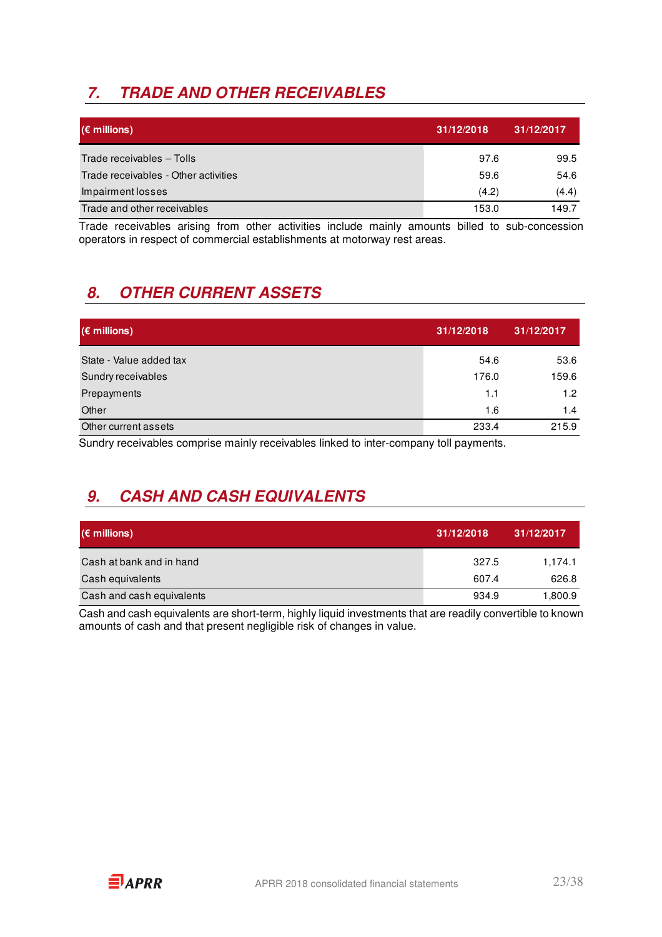## **7. TRADE AND OTHER RECEIVABLES**

| $(\epsilon$ millions)                | 31/12/2018 | 31/12/2017 |
|--------------------------------------|------------|------------|
| Trade receivables - Tolls            | 97.6       | 99.5       |
| Trade receivables - Other activities | 59.6       | 54.6       |
| Impairment losses                    | (4.2)      | (4.4)      |
| Trade and other receivables          | 153.0      | 149.7      |

Trade receivables arising from other activities include mainly amounts billed to sub-concession operators in respect of commercial establishments at motorway rest areas.

## **8. OTHER CURRENT ASSETS**

| $(\epsilon$ millions)   | 31/12/2018 | 31/12/2017 |
|-------------------------|------------|------------|
| State - Value added tax | 54.6       | 53.6       |
| Sundry receivables      | 176.0      | 159.6      |
| Prepayments             | 1.1        | 1.2        |
| Other                   | 1.6        | 1.4        |
| Other current assets    | 233.4      | 215.9      |

Sundry receivables comprise mainly receivables linked to inter-company toll payments.

## **9. CASH AND CASH EQUIVALENTS**

| $(\epsilon$ millions)     | 31/12/2018 | 31/12/2017 |
|---------------------------|------------|------------|
| Cash at bank and in hand  | 327.5      | 1.174.1    |
| Cash equivalents          | 607.4      | 626.8      |
| Cash and cash equivalents | 934.9      | 1,800.9    |

Cash and cash equivalents are short-term, highly liquid investments that are readily convertible to known amounts of cash and that present negligible risk of changes in value.

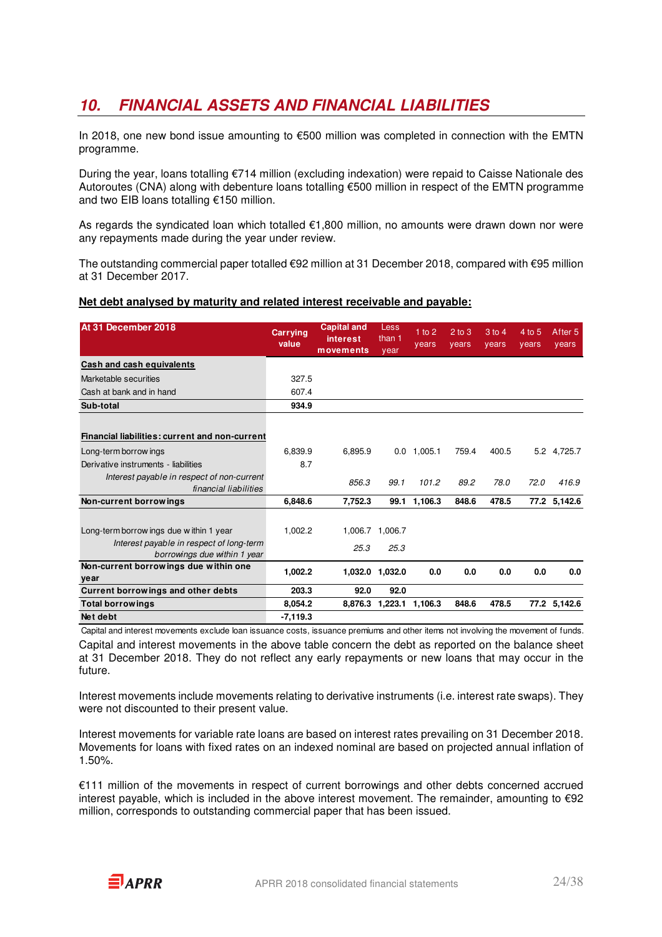## **10. FINANCIAL ASSETS AND FINANCIAL LIABILITIES**

In 2018, one new bond issue amounting to €500 million was completed in connection with the EMTN programme.

During the year, loans totalling €714 million (excluding indexation) were repaid to Caisse Nationale des Autoroutes (CNA) along with debenture loans totalling €500 million in respect of the EMTN programme and two EIB loans totalling €150 million.

As regards the syndicated loan which totalled €1,800 million, no amounts were drawn down nor were any repayments made during the year under review.

The outstanding commercial paper totalled €92 million at 31 December 2018, compared with €95 million at 31 December 2017.

#### **Net debt analysed by maturity and related interest receivable and payable:**

| At 31 December 2018                                                      | <b>Carrying</b><br>value | <b>Capital and</b><br>interest<br>movements | Less<br>than 1<br>year | $1$ to $2$<br>years | $2$ to $3$<br>years | $3$ to $4$<br>years | 4 to 5<br>vears | After <sub>5</sub><br>years |
|--------------------------------------------------------------------------|--------------------------|---------------------------------------------|------------------------|---------------------|---------------------|---------------------|-----------------|-----------------------------|
| Cash and cash equivalents                                                |                          |                                             |                        |                     |                     |                     |                 |                             |
| Marketable securities                                                    | 327.5                    |                                             |                        |                     |                     |                     |                 |                             |
| Cash at bank and in hand                                                 | 607.4                    |                                             |                        |                     |                     |                     |                 |                             |
| Sub-total                                                                | 934.9                    |                                             |                        |                     |                     |                     |                 |                             |
|                                                                          |                          |                                             |                        |                     |                     |                     |                 |                             |
| <b>Financial liabilities: current and non-current</b>                    |                          |                                             |                        |                     |                     |                     |                 |                             |
| Long-term borrow ings                                                    | 6,839.9                  | 6,895.9                                     | 0.0                    | 1,005.1             | 759.4               | 400.5               |                 | 5.2 4,725.7                 |
| Derivative instruments - liabilities                                     | 8.7                      |                                             |                        |                     |                     |                     |                 |                             |
| Interest payable in respect of non-current<br>financial liabilities      |                          | 856.3                                       | 99.1                   | 101.2               | 89.2                | 78.0                | 72.0            | 416.9                       |
| Non-current borrowings                                                   | 6,848.6                  | 7,752.3                                     |                        | 99.1 1,106.3        | 848.6               | 478.5               |                 | 77.2 5,142.6                |
|                                                                          |                          |                                             |                        |                     |                     |                     |                 |                             |
| Long-term borrow ings due within 1 year                                  | 1.002.2                  |                                             | 1,006.7 1,006.7        |                     |                     |                     |                 |                             |
| Interest payable in respect of long-term<br>borrowings due within 1 year |                          | 25.3                                        | 25.3                   |                     |                     |                     |                 |                             |
| Non-current borrowings due within one<br>year                            | 1.002.2                  | 1,032.0                                     | 1,032.0                | 0.0                 | 0.0                 | 0.0                 | 0.0             | 0.0                         |
| Current borrowings and other debts                                       | 203.3                    | 92.0                                        | 92.0                   |                     |                     |                     |                 |                             |
| <b>Total borrowings</b>                                                  | 8.054.2                  |                                             | 8,876.3 1,223.1        | 1,106.3             | 848.6               | 478.5               |                 | 77.2 5,142.6                |
| Net debt                                                                 | $-7,119.3$               |                                             |                        |                     |                     |                     |                 |                             |

Capital and interest movements in the above table concern the debt as reported on the balance sheet at 31 December 2018. They do not reflect any early repayments or new loans that may occur in the future. Capital and interest movements exclude loan issuance costs, issuance premiums and other items not involving the movement of funds.

Interest movements include movements relating to derivative instruments (i.e. interest rate swaps). They were not discounted to their present value.

Interest movements for variable rate loans are based on interest rates prevailing on 31 December 2018. Movements for loans with fixed rates on an indexed nominal are based on projected annual inflation of 1.50%.

€111 million of the movements in respect of current borrowings and other debts concerned accrued interest payable, which is included in the above interest movement. The remainder, amounting to €92 million, corresponds to outstanding commercial paper that has been issued.

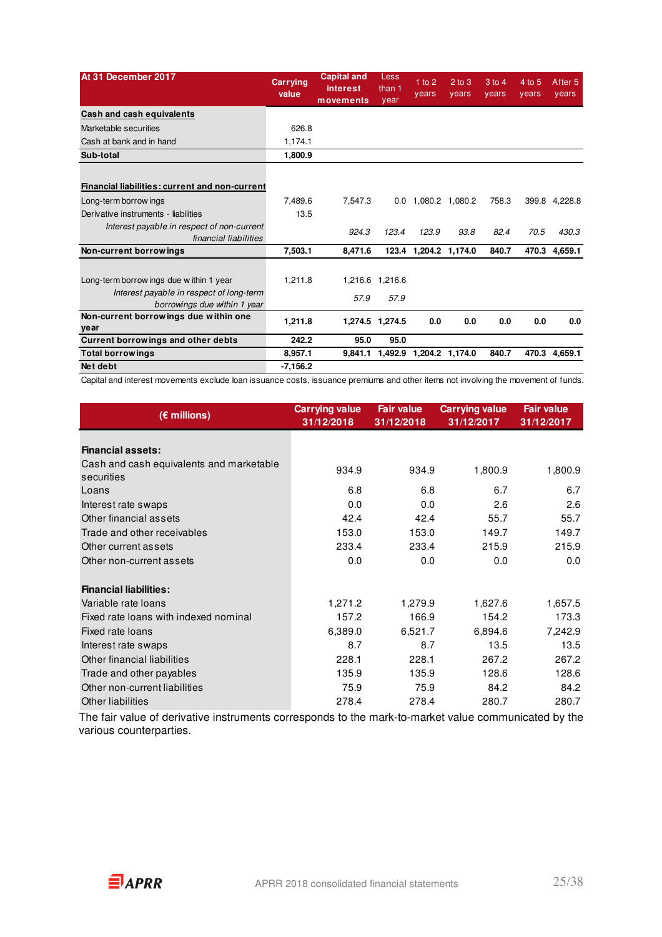| At 31 December 2017                                                      | Carrying<br>value | <b>Capital and</b><br><b>interest</b><br>movements | Less<br>than 1<br>year | 1 to 2<br>years       | $2$ to $3$<br>years | 3 to 4<br>years | 4 to 5<br>years | After <sub>5</sub><br>years |
|--------------------------------------------------------------------------|-------------------|----------------------------------------------------|------------------------|-----------------------|---------------------|-----------------|-----------------|-----------------------------|
| Cash and cash equivalents                                                |                   |                                                    |                        |                       |                     |                 |                 |                             |
| Marketable securities                                                    | 626.8             |                                                    |                        |                       |                     |                 |                 |                             |
| Cash at bank and in hand                                                 | 1,174.1           |                                                    |                        |                       |                     |                 |                 |                             |
| Sub-total                                                                | 1,800.9           |                                                    |                        |                       |                     |                 |                 |                             |
|                                                                          |                   |                                                    |                        |                       |                     |                 |                 |                             |
| Financial liabilities: current and non-current                           |                   |                                                    |                        |                       |                     |                 |                 |                             |
| Long-term borrow ings                                                    | 7.489.6           | 7.547.3                                            | 0.0                    | 1.080.2 1.080.2       |                     | 758.3           | 399.8           | 4,228.8                     |
| Derivative instruments - liabilities                                     | 13.5              |                                                    |                        |                       |                     |                 |                 |                             |
| Interest payable in respect of non-current<br>financial liabilities      |                   | 924.3                                              | 123.4                  | 123.9                 | 93.8                | 82.4            | 70.5            | 430.3                       |
| Non-current borrowings                                                   | 7,503.1           | 8,471.6                                            |                        | 123.4 1,204.2 1,174.0 |                     | 840.7           |                 | 470.3 4,659.1               |
|                                                                          |                   |                                                    |                        |                       |                     |                 |                 |                             |
| Long-term borrow ings due within 1 year                                  | 1,211.8           |                                                    | 1,216.6 1,216.6        |                       |                     |                 |                 |                             |
| Interest payable in respect of long-term<br>borrowings due within 1 year |                   | 57.9                                               | 57.9                   |                       |                     |                 |                 |                             |
| Non-current borrowings due within one<br>year                            | 1,211.8           |                                                    | 1,274.5 1,274.5        | 0.0                   | 0.0                 | 0.0             | 0.0             | 0.0                         |
| Current borrowings and other debts                                       | 242.2             | 95.0                                               | 95.0                   |                       |                     |                 |                 |                             |
| <b>Total borrowings</b>                                                  | 8,957.1           | 9.841.1                                            | 1,492.9                |                       | 1,204.2 1,174.0     | 840.7           | 470.3           | 4,659.1                     |
| Net debt                                                                 | $-7.156.2$        |                                                    |                        |                       |                     |                 |                 |                             |

Capital and interest movements exclude loan issuance costs, issuance premiums and other items not involving the movement of funds.

| $(\epsilon$ millions)                    | <b>Carrying value</b><br>31/12/2018 | <b>Fair value</b><br>31/12/2018 | <b>Carrying value</b><br>31/12/2017 | <b>Fair value</b><br>31/12/2017 |
|------------------------------------------|-------------------------------------|---------------------------------|-------------------------------------|---------------------------------|
|                                          |                                     |                                 |                                     |                                 |
| <b>Financial assets:</b>                 |                                     |                                 |                                     |                                 |
| Cash and cash equivalents and marketable | 934.9                               | 934.9                           | 1,800.9                             | 1,800.9                         |
| securities                               |                                     |                                 |                                     |                                 |
| Loans                                    | 6.8                                 | 6.8                             | 6.7                                 | 6.7                             |
| Interest rate swaps                      | 0.0                                 | 0.0                             | 2.6                                 | 2.6                             |
| Other financial assets                   | 42.4                                | 42.4                            | 55.7                                | 55.7                            |
| Trade and other receivables              | 153.0                               | 153.0                           | 149.7                               | 149.7                           |
| Other current assets                     | 233.4                               | 233.4                           | 215.9                               | 215.9                           |
| Other non-current assets                 | 0.0                                 | 0.0                             | 0.0                                 | 0.0                             |
| <b>Financial liabilities:</b>            |                                     |                                 |                                     |                                 |
| Variable rate loans                      | 1,271.2                             | 1,279.9                         | 1,627.6                             | 1,657.5                         |
| Fixed rate loans with indexed nominal    | 157.2                               | 166.9                           | 154.2                               | 173.3                           |
| Fixed rate loans                         | 6,389.0                             | 6,521.7                         | 6,894.6                             | 7,242.9                         |
| Interest rate swaps                      | 8.7                                 | 8.7                             | 13.5                                | 13.5                            |
| Other financial liabilities              | 228.1                               | 228.1                           | 267.2                               | 267.2                           |
| Trade and other payables                 | 135.9                               | 135.9                           | 128.6                               | 128.6                           |
| Other non-current liabilities            | 75.9                                | 75.9                            | 84.2                                | 84.2                            |
| Other liabilities                        | 278.4                               | 278.4                           | 280.7                               | 280.7                           |

The fair value of derivative instruments corresponds to the mark-to-market value communicated by the various counterparties.

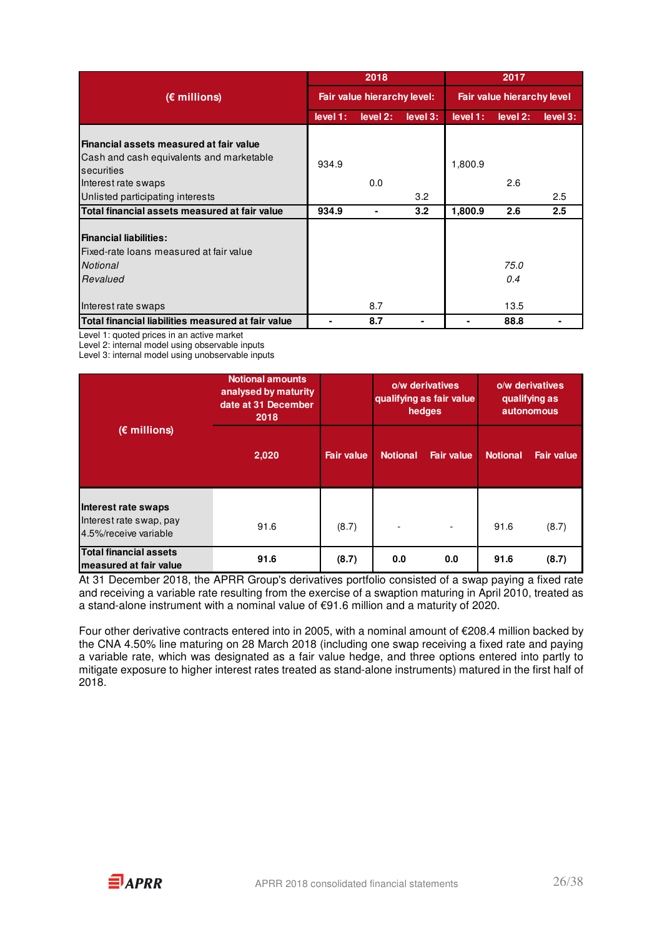|                                                                                                                                                              | 2018                        |                |          | 2017                              |                     |          |  |
|--------------------------------------------------------------------------------------------------------------------------------------------------------------|-----------------------------|----------------|----------|-----------------------------------|---------------------|----------|--|
| $(\epsilon$ millions)                                                                                                                                        | Fair value hierarchy level: |                |          | <b>Fair value hierarchy level</b> |                     |          |  |
|                                                                                                                                                              | level 1:                    | level 2:       | level 3: | level 1:                          | level 2:            | level 3: |  |
| Financial assets measured at fair value<br>Cash and cash equivalents and marketable<br>securities<br>Interest rate swaps<br>Unlisted participating interests | 934.9                       | 0.0            | 3.2      | 1,800.9                           | 2.6                 | 2.5      |  |
| Total financial assets measured at fair value                                                                                                                | 934.9                       | $\blacksquare$ | 3.2      | 1,800.9                           | 2.6                 | 2.5      |  |
| <b>Financial liabilities:</b><br>Fixed-rate loans measured at fair value<br>Notional<br>Revalued<br>Interest rate swaps                                      |                             | 8.7            |          |                                   | 75.0<br>0.4<br>13.5 |          |  |
| Total financial liabilities measured at fair value                                                                                                           |                             | 8.7            |          |                                   | 88.8                |          |  |

Level 1: quoted prices in an active market

Level 2: internal model using observable inputs

Level 3: internal model using unobservable inputs

|                                                                         | <b>Notional amounts</b><br>analysed by maturity<br>date at 31 December<br>2018 |                   |                 | o/w derivatives<br>qualifying as fair value<br>hedges | o/w derivatives<br>qualifying as<br>autonomous |                   |
|-------------------------------------------------------------------------|--------------------------------------------------------------------------------|-------------------|-----------------|-------------------------------------------------------|------------------------------------------------|-------------------|
| $(E$ millions)                                                          | 2,020                                                                          | <b>Fair value</b> | <b>Notional</b> | <b>Fair value</b>                                     | <b>Notional</b>                                | <b>Fair value</b> |
| Interest rate swaps<br>Interest rate swap, pay<br>4.5%/receive variable | 91.6                                                                           | (8.7)             |                 |                                                       | 91.6                                           | (8.7)             |
| <b>Total financial assets</b><br>measured at fair value                 | 91.6                                                                           | (8.7)             | 0.0             | 0.0                                                   | 91.6                                           | (8.7)             |

At 31 December 2018, the APRR Group's derivatives portfolio consisted of a swap paying a fixed rate and receiving a variable rate resulting from the exercise of a swaption maturing in April 2010, treated as a stand-alone instrument with a nominal value of €91.6 million and a maturity of 2020.

Four other derivative contracts entered into in 2005, with a nominal amount of €208.4 million backed by the CNA 4.50% line maturing on 28 March 2018 (including one swap receiving a fixed rate and paying a variable rate, which was designated as a fair value hedge, and three options entered into partly to mitigate exposure to higher interest rates treated as stand-alone instruments) matured in the first half of 2018.

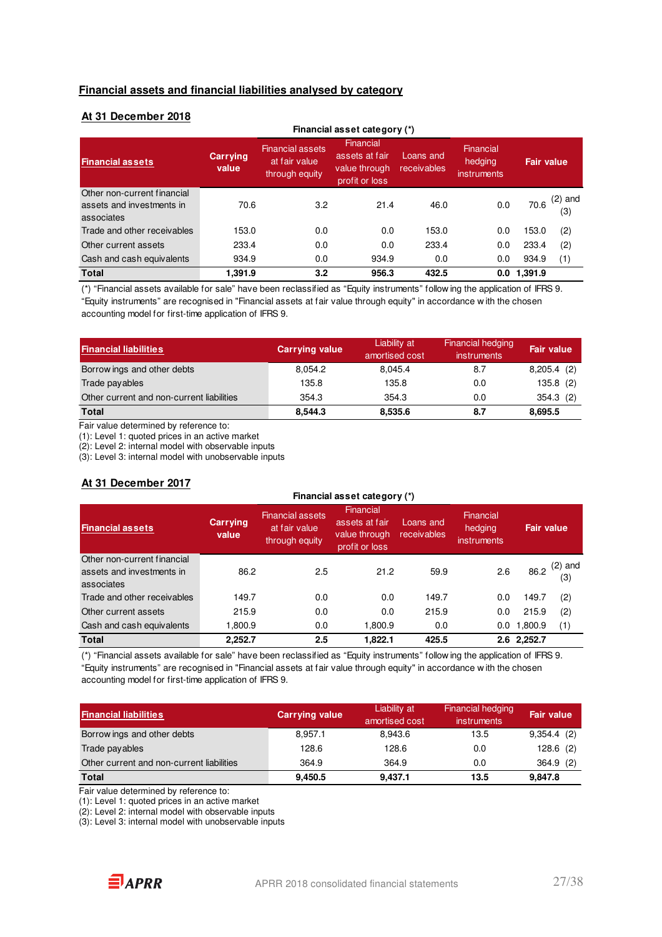#### **Financial assets and financial liabilities analysed by category**

#### **At 31 December 2018**

| Financial asset category (*)                                           |                   |                                                            |                                                                |                          |                                     |             |                  |  |  |
|------------------------------------------------------------------------|-------------------|------------------------------------------------------------|----------------------------------------------------------------|--------------------------|-------------------------------------|-------------|------------------|--|--|
| <b>Financial assets</b>                                                | Carrying<br>value | <b>Financial assets</b><br>at fair value<br>through equity | Financial<br>assets at fair<br>value through<br>profit or loss | Loans and<br>receivables | Financial<br>hedging<br>instruments | Fair value. |                  |  |  |
| Other non-current financial<br>assets and investments in<br>associates | 70.6              | 3.2                                                        | 21.4                                                           | 46.0                     | 0.0                                 | 70.6        | $(2)$ and<br>(3) |  |  |
| Trade and other receivables                                            | 153.0             | 0.0                                                        | 0.0                                                            | 153.0                    | 0.0                                 | 153.0       | (2)              |  |  |
| Other current assets                                                   | 233.4             | 0.0                                                        | 0.0                                                            | 233.4                    | 0.0                                 | 233.4       | (2)              |  |  |
| Cash and cash equivalents                                              | 934.9             | 0.0                                                        | 934.9                                                          | 0.0                      | 0.0                                 | 934.9       | (1)              |  |  |
| <b>Total</b>                                                           | 1,391.9           | 3.2                                                        | 956.3                                                          | 432.5                    | 0.0                                 | 1,391.9     |                  |  |  |

(\*) "Financial assets available for sale" have been reclassified as "Equity instruments" follow ing the application of IFRS 9. "Equity instruments" are recognised in "Financial assets at fair value through equity" in accordance w ith the chosen accounting model for first-time application of IFRS 9.

| <b>Financial liabilities</b>              | <b>Carrying value</b> | Liability at<br>amortised cost | <b>Financial hedging</b><br><i>instruments</i> | <b>Fair value</b> |
|-------------------------------------------|-----------------------|--------------------------------|------------------------------------------------|-------------------|
| Borrow ings and other debts               | 8.054.2               | 8.045.4                        | 8.7                                            | 8,205.4(2)        |
| Trade payables                            | 135.8                 | 135.8                          | 0.0                                            | 135.8(2)          |
| Other current and non-current liabilities | 354.3                 | 354.3                          | 0.0                                            | 354.3(2)          |
| <b>Total</b>                              | 8,544.3               | 8,535.6                        | 8.7                                            | 8,695.5           |

Fair value determined by reference to:

(1): Level 1: quoted prices in an active market

(2): Level 2: internal model with observable inputs

(3): Level 3: internal model with unobservable inputs

#### **At 31 December 2017**

| , ., <del>.</del> ,                                                    | Financial asset category (*) |                                                            |                                                                |                          |                                     |             |                  |
|------------------------------------------------------------------------|------------------------------|------------------------------------------------------------|----------------------------------------------------------------|--------------------------|-------------------------------------|-------------|------------------|
| <b>Financial assets</b>                                                | Carrying<br>value            | <b>Financial assets</b><br>at fair value<br>through equity | Financial<br>assets at fair<br>value through<br>profit or loss | Loans and<br>receivables | Financial<br>hedging<br>instruments | Fair value  |                  |
| Other non-current financial<br>assets and investments in<br>associates | 86.2                         | 2.5                                                        | 21.2                                                           | 59.9                     | 2.6                                 | 86.2        | $(2)$ and<br>(3) |
| Trade and other receivables                                            | 149.7                        | 0.0                                                        | 0.0                                                            | 149.7                    | 0.0                                 | 149.7       | (2)              |
| Other current assets                                                   | 215.9                        | 0.0                                                        | 0.0                                                            | 215.9                    | 0.0                                 | 215.9       | (2)              |
| Cash and cash equivalents                                              | 1.800.9                      | 0.0                                                        | 1.800.9                                                        | 0.0                      | 0.0                                 | 1,800.9     | (1)              |
| <b>Total</b>                                                           | 2,252.7                      | 2.5                                                        | 1.822.1                                                        | 425.5                    |                                     | 2.6 2,252.7 |                  |

(\*) "Financial assets available for sale" have been reclassified as "Equity instruments" follow ing the application of IFRS 9. "Equity instruments" are recognised in "Financial assets at fair value through equity" in accordance w ith the chosen accounting model for first-time application of IFRS 9.

| <b>Financial liabilities</b>              | <b>Carrying value</b> | Liability at<br>amortised cost | Financial hedging<br><i>instruments</i> | <b>Fair value</b> |
|-------------------------------------------|-----------------------|--------------------------------|-----------------------------------------|-------------------|
| Borrow ings and other debts               | 8,957.1               | 8.943.6                        | 13.5                                    | $9,354.4$ (2)     |
| Trade payables                            | 128.6                 | 128.6                          | 0.0                                     | $128.6$ (2)       |
| Other current and non-current liabilities | 364.9                 | 364.9                          | 0.0                                     | 364.9(2)          |
| <b>Total</b>                              | 9,450.5               | 9,437.1                        | 13.5                                    | 9.847.8           |

Fair value determined by reference to:

(1): Level 1: quoted prices in an active market

(2): Level 2: internal model with observable inputs

(3): Level 3: internal model with unobservable inputs

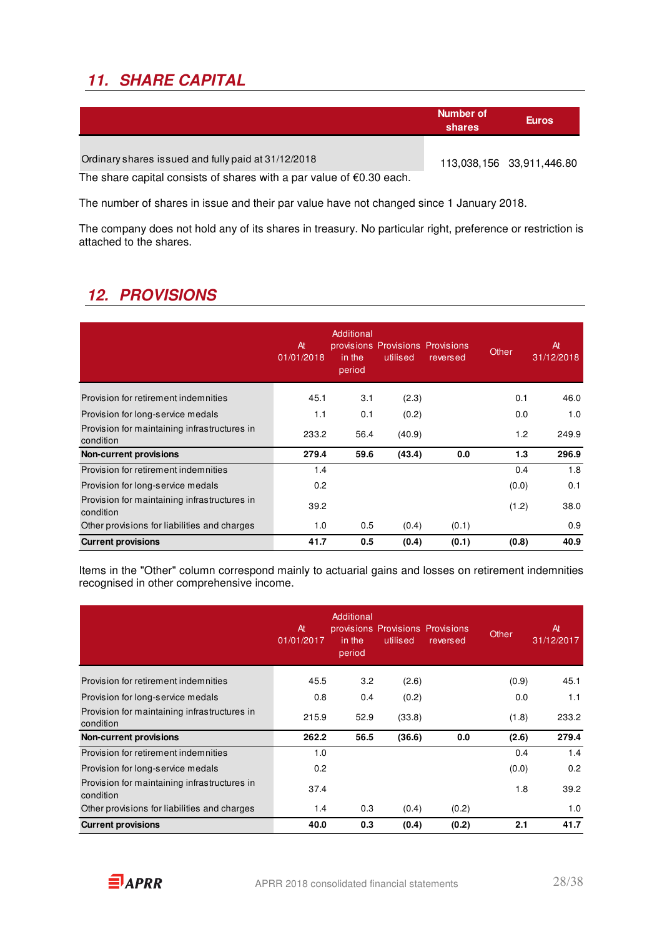## **11. SHARE CAPITAL**

|                                                                                | Number of<br>shares | <b>Euros</b>              |
|--------------------------------------------------------------------------------|---------------------|---------------------------|
| Ordinary shares issued and fully paid at 31/12/2018                            |                     | 113,038,156 33,911,446.80 |
| The share capital consists of shares with a par value of $\epsilon$ 0.30 each. |                     |                           |

The number of shares in issue and their par value have not changed since 1 January 2018.

The company does not hold any of its shares in treasury. No particular right, preference or restriction is attached to the shares.

## **12. PROVISIONS**

|                                                           | At<br>01/01/2018 | Additional<br>in the<br>period | provisions Provisions Provisions<br>utilised | reversed | Other | At<br>31/12/2018 |
|-----------------------------------------------------------|------------------|--------------------------------|----------------------------------------------|----------|-------|------------------|
| Provision for retirement indemnities                      | 45.1             | 3.1                            | (2.3)                                        |          | 0.1   | 46.0             |
| Provision for long-service medals                         | 1.1              | 0.1                            | (0.2)                                        |          | 0.0   | 1.0              |
| Provision for maintaining infrastructures in<br>condition | 233.2            | 56.4                           | (40.9)                                       |          | 1.2   | 249.9            |
| <b>Non-current provisions</b>                             | 279.4            | 59.6                           | (43.4)                                       | 0.0      | 1.3   | 296.9            |
| Provision for retirement indemnities                      | 1.4              |                                |                                              |          | 0.4   | 1.8              |
| Provision for long-service medals                         | 0.2              |                                |                                              |          | (0.0) | 0.1              |
| Provision for maintaining infrastructures in<br>condition | 39.2             |                                |                                              |          | (1.2) | 38.0             |
| Other provisions for liabilities and charges              | 1.0              | 0.5                            | (0.4)                                        | (0.1)    |       | 0.9              |
| <b>Current provisions</b>                                 | 41.7             | 0.5                            | (0.4)                                        | (0.1)    | (0.8) | 40.9             |

Items in the "Other" column correspond mainly to actuarial gains and losses on retirement indemnities recognised in other comprehensive income.

|                                                           | At<br>01/01/2017 | Additional<br>in the<br>period | provisions Provisions Provisions<br>utilised | reversed | Other | At<br>31/12/2017 |
|-----------------------------------------------------------|------------------|--------------------------------|----------------------------------------------|----------|-------|------------------|
| Provision for retirement indemnities                      | 45.5             | 3.2                            | (2.6)                                        |          | (0.9) | 45.1             |
| Provision for long-service medals                         | 0.8              | 0.4                            | (0.2)                                        |          | 0.0   | 1.1              |
| Provision for maintaining infrastructures in<br>condition | 215.9            | 52.9                           | (33.8)                                       |          | (1.8) | 233.2            |
| <b>Non-current provisions</b>                             | 262.2            | 56.5                           | (36.6)                                       | 0.0      | (2.6) | 279.4            |
| Provision for retirement indemnities                      | 1.0              |                                |                                              |          | 0.4   | 1.4              |
| Provision for long-service medals                         | 0.2              |                                |                                              |          | (0.0) | 0.2              |
| Provision for maintaining infrastructures in<br>condition | 37.4             |                                |                                              |          | 1.8   | 39.2             |
| Other provisions for liabilities and charges              | 1.4              | 0.3                            | (0.4)                                        | (0.2)    |       | 1.0              |
| <b>Current provisions</b>                                 | 40.0             | 0.3                            | (0.4)                                        | (0.2)    | 2.1   | 41.7             |

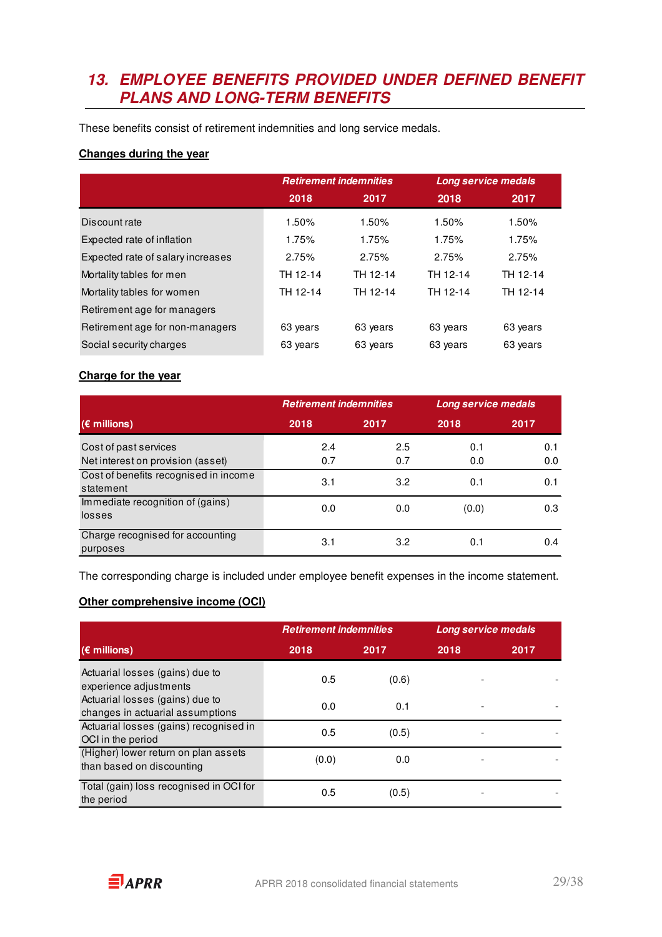### **13. EMPLOYEE BENEFITS PROVIDED UNDER DEFINED BENEFIT PLANS AND LONG-TERM BENEFITS**

These benefits consist of retirement indemnities and long service medals.

#### **Changes during the year**

|                                   | <b>Retirement indemnities</b> |          |          | Long service medals |
|-----------------------------------|-------------------------------|----------|----------|---------------------|
|                                   | 2018                          | 2017     | 2018     | 2017                |
| Discount rate                     | 1.50%                         | 1.50%    | 1.50%    | 1.50%               |
| Expected rate of inflation        | 1.75%                         | 1.75%    | 1.75%    | 1.75%               |
| Expected rate of salary increases | 2.75%                         | 2.75%    | 2.75%    | 2.75%               |
| Mortality tables for men          | TH 12-14                      | TH 12-14 | TH 12-14 | TH 12-14            |
| Mortality tables for women        | TH 12-14                      | TH 12-14 | TH 12-14 | TH 12-14            |
| Retirement age for managers       |                               |          |          |                     |
| Retirement age for non-managers   | 63 years                      | 63 years | 63 years | 63 years            |
| Social security charges           | 63 years                      | 63 years | 63 years | 63 years            |

#### **Charge for the year**

|                                                            | <b>Retirement indemnities</b> |            | Long service medals |            |
|------------------------------------------------------------|-------------------------------|------------|---------------------|------------|
| $(\epsilon$ millions)                                      | 2018                          | 2017       | 2018                | 2017       |
| Cost of past services<br>Net interest on provision (asset) | 2.4<br>0.7                    | 2.5<br>0.7 | 0.1<br>0.0          | 0.1<br>0.0 |
| Cost of benefits recognised in income<br>statement         | 3.1                           | 3.2        | 0.1                 | 0.1        |
| Immediate recognition of (gains)<br>losses                 | 0.0                           | 0.0        | (0.0)               | 0.3        |
| Charge recognised for accounting<br>purposes               | 3.1                           | 3.2        | 0.1                 | 0.4        |

The corresponding charge is included under employee benefit expenses in the income statement.

#### **Other comprehensive income (OCI)**

|                                                                     | <b>Retirement indemnities</b> |       |      |      | <b>Long service medals</b> |  |
|---------------------------------------------------------------------|-------------------------------|-------|------|------|----------------------------|--|
| $(\epsilon$ millions)                                               | 2018                          | 2017  | 2018 | 2017 |                            |  |
| Actuarial losses (gains) due to<br>experience adjustments           | 0.5                           | (0.6) |      |      |                            |  |
| Actuarial losses (gains) due to<br>changes in actuarial assumptions | 0.0                           | 0.1   |      |      |                            |  |
| Actuarial losses (gains) recognised in<br>OCI in the period         | 0.5                           | (0.5) |      |      |                            |  |
| (Higher) lower return on plan assets<br>than based on discounting   | (0.0)                         | 0.0   |      |      |                            |  |
| Total (gain) loss recognised in OCI for<br>the period               | 0.5                           | (0.5) |      |      |                            |  |

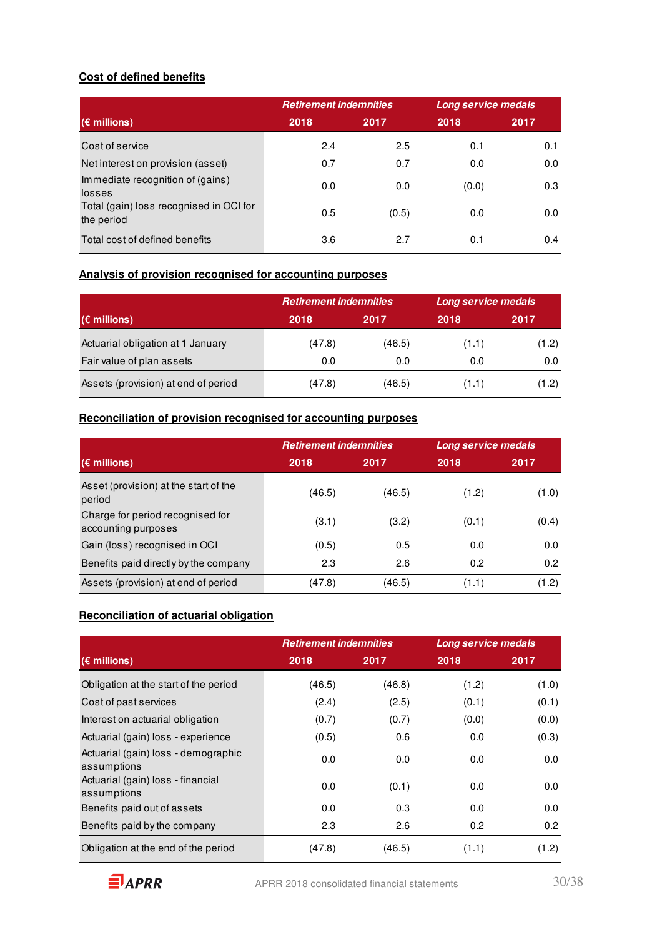#### **Cost of defined benefits**

|                                                       | <b>Retirement indemnities</b> |       | Long service medals |               |
|-------------------------------------------------------|-------------------------------|-------|---------------------|---------------|
| $(\epsilon$ millions)                                 | 2018                          | 2017  | 2018                | 2017          |
| Cost of service                                       | 2.4                           | 2.5   | 0.1                 | 0.1           |
| Net interest on provision (asset)                     | 0.7                           | 0.7   | 0.0                 | 0.0           |
| Immediate recognition of (gains)<br>losses            | 0.0                           | 0.0   | (0.0)               | 0.3           |
| Total (gain) loss recognised in OCI for<br>the period | 0.5                           | (0.5) | 0.0                 | 0.0           |
| Total cost of defined benefits                        | 3.6                           | 2.7   | 0.1                 | $0.4^{\circ}$ |

### **Analysis of provision recognised for accounting purposes**

|                                     | <b>Retirement indemnities</b> |        | Long service medals |       |  |
|-------------------------------------|-------------------------------|--------|---------------------|-------|--|
| $(\epsilon$ millions)               | 2018                          | 2017   | 2018                | 2017  |  |
| Actuarial obligation at 1 January   | (47.8)                        | (46.5) | (1.1)               | (1.2) |  |
| Fair value of plan assets           | 0.0                           | 0.0    | 0.0                 | 0.0   |  |
| Assets (provision) at end of period | (47.8)                        | (46.5) | (1.1)               | (1.2) |  |

### **Reconciliation of provision recognised for accounting purposes**

|                                                         | <b>Retirement indemnities</b> |        | Long service medals |       |
|---------------------------------------------------------|-------------------------------|--------|---------------------|-------|
| $(\epsilon$ millions)                                   | 2018                          | 2017   | 2018                | 2017  |
| Asset (provision) at the start of the<br>period         | (46.5)                        | (46.5) | (1.2)               | (1.0) |
| Charge for period recognised for<br>accounting purposes | (3.1)                         | (3.2)  | (0.1)               | (0.4) |
| Gain (loss) recognised in OCI                           | (0.5)                         | 0.5    | 0.0                 | 0.0   |
| Benefits paid directly by the company                   | 2.3                           | 2.6    | 0.2                 | 0.2   |
| Assets (provision) at end of period                     | (47.8)                        | (46.5) | (1.1)               | (1.2) |

#### **Reconciliation of actuarial obligation**

|                                                    | <b>Retirement indemnities</b> |        | Long service medals |       |
|----------------------------------------------------|-------------------------------|--------|---------------------|-------|
| $(\epsilon$ millions)                              | 2018                          | 2017   | 2018                | 2017  |
| Obligation at the start of the period              | (46.5)                        | (46.8) | (1.2)               | (1.0) |
| Cost of past services                              | (2.4)                         | (2.5)  | (0.1)               | (0.1) |
| Interest on actuarial obligation                   | (0.7)                         | (0.7)  | (0.0)               | (0.0) |
| Actuarial (gain) loss - experience                 | (0.5)                         | 0.6    | 0.0                 | (0.3) |
| Actuarial (gain) loss - demographic<br>assumptions | 0.0                           | 0.0    | 0.0                 | 0.0   |
| Actuarial (gain) loss - financial<br>assumptions   | 0.0                           | (0.1)  | 0.0                 | 0.0   |
| Benefits paid out of assets                        | 0.0                           | 0.3    | 0.0                 | 0.0   |
| Benefits paid by the company                       | 2.3                           | 2.6    | 0.2                 | 0.2   |
| Obligation at the end of the period                | (47.8)                        | (46.5) | (1.1)               | (1.2) |

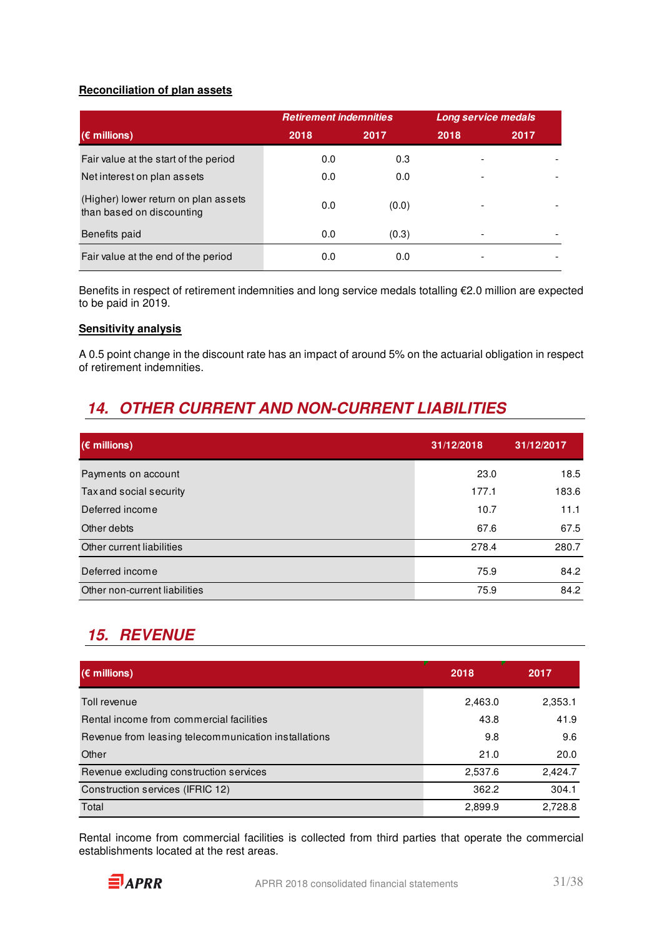#### **Reconciliation of plan assets**

|                                                                   | <b>Retirement indemnities</b> |       | <b>Long service medals</b> |      |
|-------------------------------------------------------------------|-------------------------------|-------|----------------------------|------|
| $(\epsilon$ millions)                                             | 2018                          | 2017  | 2018                       | 2017 |
| Fair value at the start of the period                             | 0.0                           | 0.3   |                            |      |
| Net interest on plan assets                                       | 0.0                           | 0.0   | $\overline{\phantom{a}}$   |      |
| (Higher) lower return on plan assets<br>than based on discounting | 0.0                           | (0.0) | ٠                          |      |
| Benefits paid                                                     | 0.0                           | (0.3) |                            |      |
| Fair value at the end of the period                               | 0.0                           | 0.0   |                            |      |

Benefits in respect of retirement indemnities and long service medals totalling €2.0 million are expected to be paid in 2019.

#### **Sensitivity analysis**

A 0.5 point change in the discount rate has an impact of around 5% on the actuarial obligation in respect of retirement indemnities.

### **14. OTHER CURRENT AND NON-CURRENT LIABILITIES**

| $(\epsilon$ millions)         | 31/12/2018 | 31/12/2017 |
|-------------------------------|------------|------------|
| Payments on account           | 23.0       | 18.5       |
| Tax and social security       | 177.1      | 183.6      |
| Deferred income               | 10.7       | 11.1       |
| Other debts                   | 67.6       | 67.5       |
| Other current liabilities     | 278.4      | 280.7      |
| Deferred income               | 75.9       | 84.2       |
| Other non-current liabilities | 75.9       | 84.2       |

### **15. REVENUE**

| $(\epsilon$ millions)                                | 2018    | 2017    |
|------------------------------------------------------|---------|---------|
| Toll revenue                                         | 2,463.0 | 2,353.1 |
| Rental income from commercial facilities             | 43.8    | 41.9    |
| Revenue from leasing telecommunication installations | 9.8     | 9.6     |
| Other                                                | 21.0    | 20.0    |
| Revenue excluding construction services              | 2,537.6 | 2,424.7 |
| Construction services (IFRIC 12)                     | 362.2   | 304.1   |
| Total                                                | 2,899.9 | 2,728.8 |

Rental income from commercial facilities is collected from third parties that operate the commercial establishments located at the rest areas.

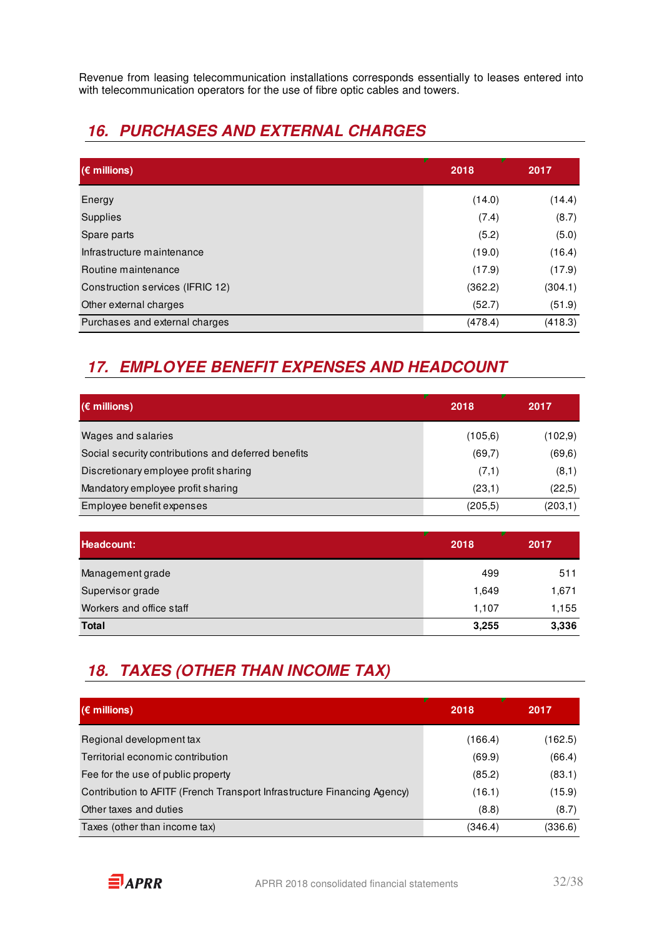Revenue from leasing telecommunication installations corresponds essentially to leases entered into with telecommunication operators for the use of fibre optic cables and towers.

## **16. PURCHASES AND EXTERNAL CHARGES**

| $(\epsilon$ millions)            | 2018    | 2017    |
|----------------------------------|---------|---------|
| Energy                           | (14.0)  | (14.4)  |
| Supplies                         | (7.4)   | (8.7)   |
| Spare parts                      | (5.2)   | (5.0)   |
| Infrastructure maintenance       | (19.0)  | (16.4)  |
| Routine maintenance              | (17.9)  | (17.9)  |
| Construction services (IFRIC 12) | (362.2) | (304.1) |
| Other external charges           | (52.7)  | (51.9)  |
| Purchases and external charges   | (478.4) | (418.3) |

## **17. EMPLOYEE BENEFIT EXPENSES AND HEADCOUNT**

| $(\epsilon$ millions)                               | 2018    | 2017    |
|-----------------------------------------------------|---------|---------|
| Wages and salaries                                  | (105.6) | (102,9) |
| Social security contributions and deferred benefits | (69,7)  | (69, 6) |
| Discretionary employee profit sharing               | (7,1)   | (8,1)   |
| Mandatory employee profit sharing                   | (23,1)  | (22,5)  |
| Employee benefit expenses                           | (205.5) | (203,1) |

| Headcount:               | 2018  | 2017  |
|--------------------------|-------|-------|
| Management grade         | 499   | 511   |
| Supervisor grade         | 1,649 | 1,671 |
| Workers and office staff | 1,107 | 1,155 |
| <b>Total</b>             | 3,255 | 3,336 |

## **18. TAXES (OTHER THAN INCOME TAX)**

| $(\epsilon$ millions)                                                    | 2018    | 2017    |
|--------------------------------------------------------------------------|---------|---------|
| Regional development tax                                                 | (166.4) | (162.5) |
| Territorial economic contribution                                        | (69.9)  | (66.4)  |
| Fee for the use of public property                                       | (85.2)  | (83.1)  |
| Contribution to AFITF (French Transport Infrastructure Financing Agency) | (16.1)  | (15.9)  |
| Other taxes and duties                                                   | (8.8)   | (8.7)   |
| Taxes (other than income tax)                                            | (346.4) | (336.6) |

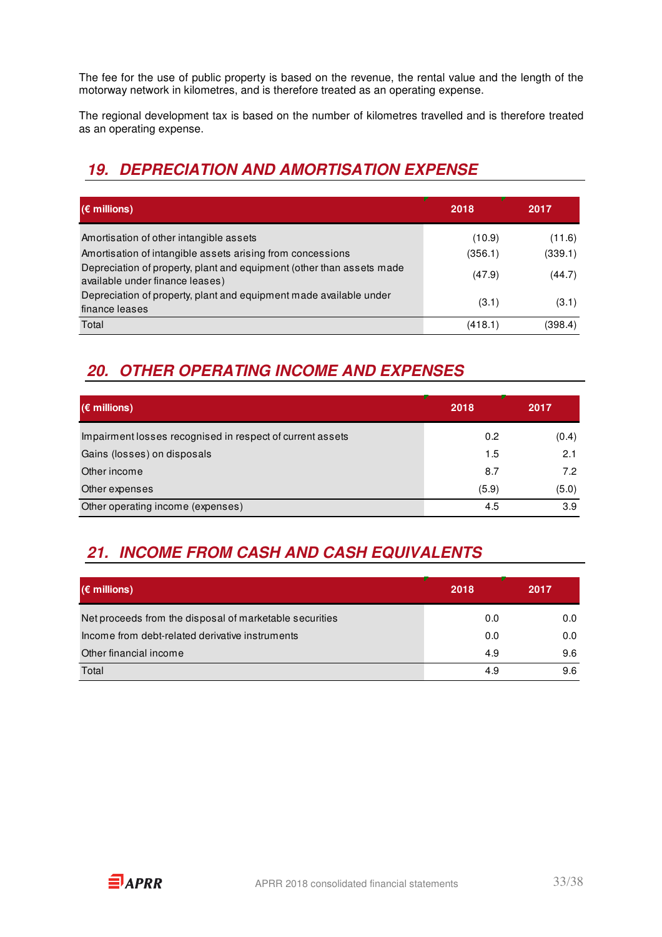The fee for the use of public property is based on the revenue, the rental value and the length of the motorway network in kilometres, and is therefore treated as an operating expense.

The regional development tax is based on the number of kilometres travelled and is therefore treated as an operating expense.

## **19. DEPRECIATION AND AMORTISATION EXPENSE**

| $(\epsilon$ millions)                                                                                                                                                                                             | 2018                        | 2017                        |
|-------------------------------------------------------------------------------------------------------------------------------------------------------------------------------------------------------------------|-----------------------------|-----------------------------|
| Amortisation of other intangible assets<br>Amortisation of intangible assets arising from concessions<br>Depreciation of property, plant and equipment (other than assets made<br>available under finance leases) | (10.9)<br>(356.1)<br>(47.9) | (11.6)<br>(339.1)<br>(44.7) |
| Depreciation of property, plant and equipment made available under<br>finance leases                                                                                                                              | (3.1)                       | (3.1)                       |
| Total                                                                                                                                                                                                             | (418.1)                     | (398.4)                     |

## **20. OTHER OPERATING INCOME AND EXPENSES**

| $(\epsilon$ millions)                                     | 2018  | 2017  |
|-----------------------------------------------------------|-------|-------|
| Impairment losses recognised in respect of current assets | 0.2   | (0.4) |
| Gains (losses) on disposals                               | 1.5   | 2.1   |
| Other income                                              | 8.7   | 7.2   |
| Other expenses                                            | (5.9) | (5.0) |
| Other operating income (expenses)                         | 4.5   | 3.9   |

## **21. INCOME FROM CASH AND CASH EQUIVALENTS**

| $(\epsilon$ millions)                                   | 2018 | 2017 |
|---------------------------------------------------------|------|------|
| Net proceeds from the disposal of marketable securities | 0.0  | 0.0  |
| Income from debt-related derivative instruments         | 0.0  | 0.0  |
| Other financial income                                  | 4.9  | 9.6  |
| Total                                                   | 4.9  | 9.6  |

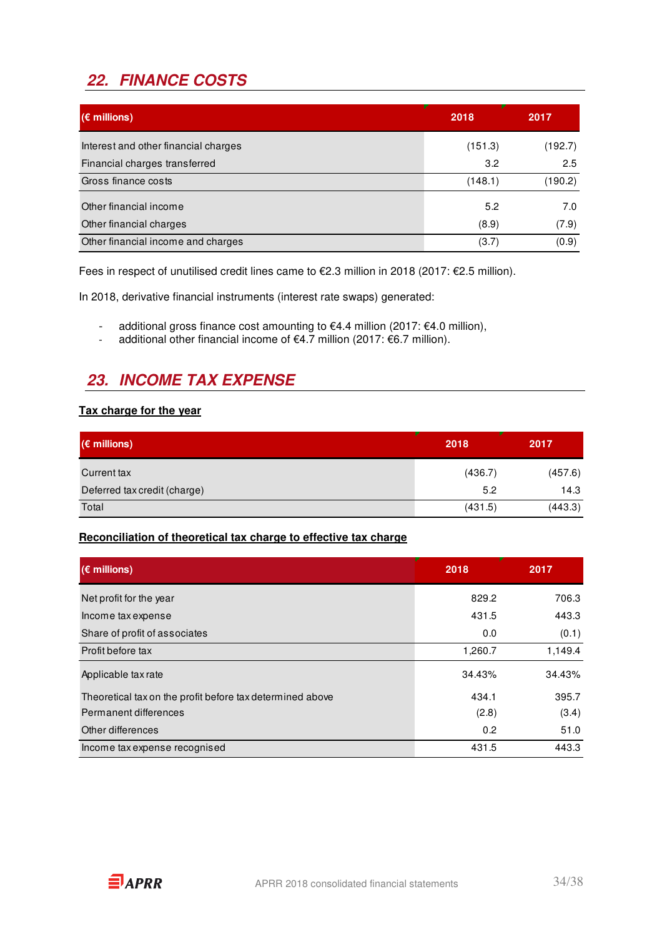## **22. FINANCE COSTS**

| $(\epsilon$ millions)                | 2018    | 2017    |
|--------------------------------------|---------|---------|
| Interest and other financial charges | (151.3) | (192.7) |
| Financial charges transferred        | 3.2     | 2.5     |
| Gross finance costs                  | (148.1) | (190.2) |
| Other financial income               | 5.2     | 7.0     |
| Other financial charges              | (8.9)   | (7.9)   |
| Other financial income and charges   | (3.7)   | (0.9)   |

Fees in respect of unutilised credit lines came to €2.3 million in 2018 (2017: €2.5 million).

In 2018, derivative financial instruments (interest rate swaps) generated:

- additional gross finance cost amounting to €4.4 million (2017: €4.0 million),
- additional other financial income of  $€4.7$  million (2017:  $€6.7$  million).

## **23. INCOME TAX EXPENSE**

#### **Tax charge for the year**

| $(\epsilon$ millions)        | 2018    | 2017    |  |
|------------------------------|---------|---------|--|
| Current tax                  | (436.7) | (457.6) |  |
| Deferred tax credit (charge) | 5.2     | 14.3    |  |
| Total                        | (431.5) | (443.3) |  |

#### **Reconciliation of theoretical tax charge to effective tax charge**

| $(\epsilon$ millions)                                     | 2018    | 2017    |
|-----------------------------------------------------------|---------|---------|
| Net profit for the year                                   | 829.2   | 706.3   |
| Income tax expense                                        | 431.5   | 443.3   |
| Share of profit of associates                             | 0.0     | (0.1)   |
| Profit before tax                                         | 1,260.7 | 1,149.4 |
| Applicable tax rate                                       | 34.43%  | 34.43%  |
| Theoretical tax on the profit before tax determined above | 434.1   | 395.7   |
| Permanent differences                                     | (2.8)   | (3.4)   |
| Other differences                                         | 0.2     | 51.0    |
| Income tax expense recognised                             | 431.5   | 443.3   |

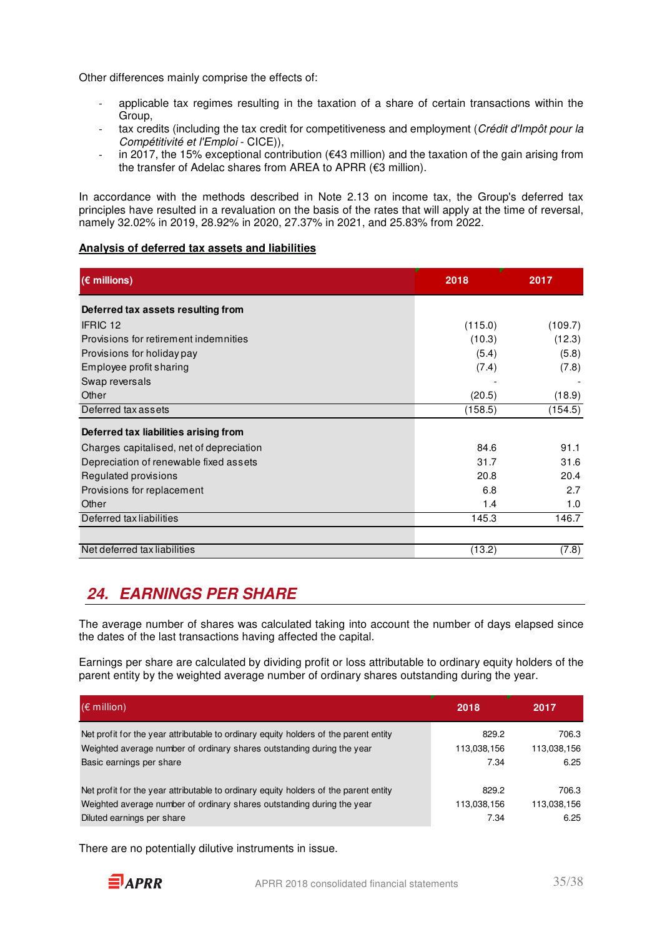Other differences mainly comprise the effects of:

- applicable tax regimes resulting in the taxation of a share of certain transactions within the Group,
- tax credits (including the tax credit for competitiveness and employment (Crédit d'Impôt pour la Compétitivité et l'Emploi - CICE)),
- in 2017, the 15% exceptional contribution (€43 million) and the taxation of the gain arising from the transfer of Adelac shares from AREA to APRR (€3 million).

In accordance with the methods described in Note 2.13 on income tax, the Group's deferred tax principles have resulted in a revaluation on the basis of the rates that will apply at the time of reversal, namely 32.02% in 2019, 28.92% in 2020, 27.37% in 2021, and 25.83% from 2022.

#### **Analysis of deferred tax assets and liabilities**

| (€ millions)                             | 2018    | 2017    |
|------------------------------------------|---------|---------|
| Deferred tax assets resulting from       |         |         |
| IFRIC 12                                 | (115.0) | (109.7) |
| Provisions for retirement indemnities    | (10.3)  | (12.3)  |
| Provisions for holiday pay               | (5.4)   | (5.8)   |
| Employee profit sharing                  | (7.4)   | (7.8)   |
| Swap reversals                           |         |         |
| Other                                    | (20.5)  | (18.9)  |
| Deferred tax assets                      | (158.5) | (154.5) |
| Deferred tax liabilities arising from    |         |         |
| Charges capitalised, net of depreciation | 84.6    | 91.1    |
| Depreciation of renewable fixed assets   | 31.7    | 31.6    |
| Regulated provisions                     | 20.8    | 20.4    |
| Provisions for replacement               | 6.8     | 2.7     |
| Other                                    | 1.4     | 1.0     |
| Deferred tax liabilities                 | 145.3   | 146.7   |
|                                          |         |         |
| Net deferred tax liabilities             | (13.2)  | (7.8)   |

## **24. EARNINGS PER SHARE**

The average number of shares was calculated taking into account the number of days elapsed since the dates of the last transactions having affected the capital.

Earnings per share are calculated by dividing profit or loss attributable to ordinary equity holders of the parent entity by the weighted average number of ordinary shares outstanding during the year.

| $(\epsilon$ million)                                                                 | 2018        | 2017        |
|--------------------------------------------------------------------------------------|-------------|-------------|
| Net profit for the year attributable to ordinary equity holders of the parent entity | 829.2       | 706.3       |
| Weighted average number of ordinary shares outstanding during the year               | 113,038,156 | 113,038,156 |
| Basic earnings per share                                                             | 7.34        | 6.25        |
| Net profit for the year attributable to ordinary equity holders of the parent entity | 829.2       | 706.3       |
| Weighted average number of ordinary shares outstanding during the year               | 113,038,156 | 113,038,156 |
| Diluted earnings per share                                                           | 7.34        | 6.25        |

There are no potentially dilutive instruments in issue.

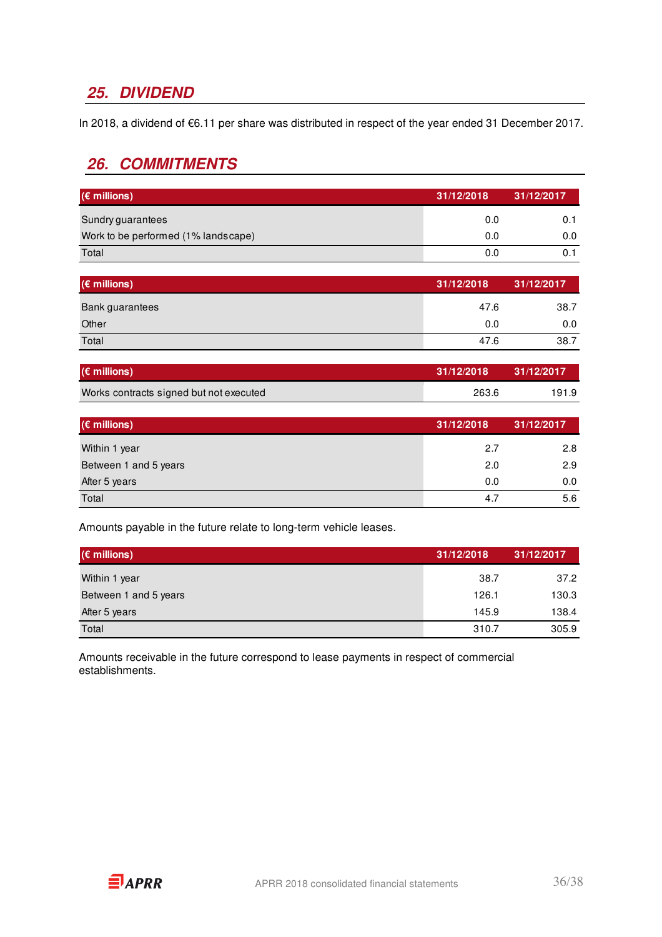## **25. DIVIDEND**

In 2018, a dividend of €6.11 per share was distributed in respect of the year ended 31 December 2017.

### **26. COMMITMENTS**

| $(\epsilon$ millions)               | 31/12/2018 | 31/12/2017 |
|-------------------------------------|------------|------------|
| Sundry guarantees                   | 0.0        |            |
| Work to be performed (1% landscape) | 0.0        | 0.0        |
| Total                               | 0.0        |            |

| $(\epsilon$ millions) | 31/12/2018 | 31/12/2017 |
|-----------------------|------------|------------|
| Bank guarantees       | 47.6       | 38.7       |
| Other                 | 0.0        | 0.0        |
| Total                 | 47.6       | 38.7       |

| $(\epsilon$ millions)                   | 31/12/2018 | 31/12/2017 |
|-----------------------------------------|------------|------------|
| Works contracts signed but not executed | 263.6      | 191.9      |

| $(\epsilon$ millions) | 31/12/2018 | 31/12/2017 |
|-----------------------|------------|------------|
| Within 1 year         | 2.7        | 2.8        |
| Between 1 and 5 years | 2.0        | 2.9        |
| After 5 years         | 0.0        | 0.0        |
| Total                 | 4.7        | 5.6        |

Amounts payable in the future relate to long-term vehicle leases.

| $(\epsilon$ millions) | 31/12/2018 | 31/12/2017 |
|-----------------------|------------|------------|
| Within 1 year         | 38.7       | 37.2       |
| Between 1 and 5 years | 126.1      | 130.3      |
| After 5 years         | 145.9      | 138.4      |
| Total                 | 310.7      | 305.9      |

Amounts receivable in the future correspond to lease payments in respect of commercial establishments.

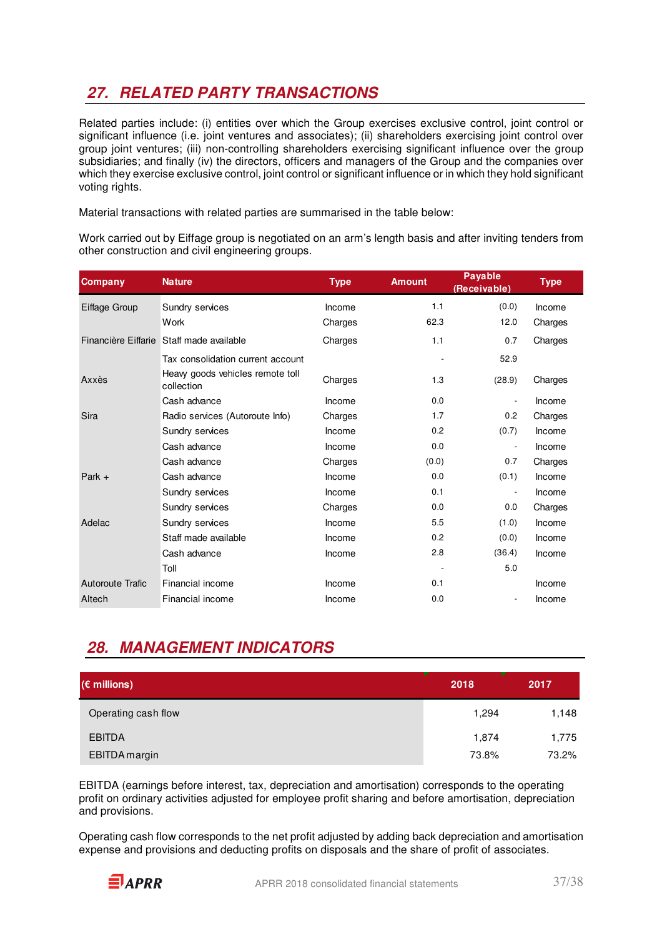## **27. RELATED PARTY TRANSACTIONS**

Related parties include: (i) entities over which the Group exercises exclusive control, joint control or significant influence (i.e. joint ventures and associates); (ii) shareholders exercising joint control over group joint ventures; (iii) non-controlling shareholders exercising significant influence over the group subsidiaries; and finally (iv) the directors, officers and managers of the Group and the companies over which they exercise exclusive control, joint control or significant influence or in which they hold significant voting rights.

Material transactions with related parties are summarised in the table below:

Work carried out by Eiffage group is negotiated on an arm's length basis and after inviting tenders from other construction and civil engineering groups.

| <b>Company</b>          | <b>Nature</b>                                  | <b>Type</b> | <b>Amount</b> | <b>Payable</b><br>(Receivable) | <b>Type</b> |
|-------------------------|------------------------------------------------|-------------|---------------|--------------------------------|-------------|
| Eiffage Group           | Sundry services                                | Income      | 1.1           | (0.0)                          | Income      |
|                         | Work                                           | Charges     | 62.3          | 12.0                           | Charges     |
|                         | Financière Eiffarie Staff made available       | Charges     | 1.1           | 0.7                            | Charges     |
|                         | Tax consolidation current account              |             |               | 52.9                           |             |
| Axxès                   | Heavy goods vehicles remote toll<br>collection | Charges     | 1.3           | (28.9)                         | Charges     |
|                         | Cash advance                                   | Income      | 0.0           |                                | Income      |
| Sira                    | Radio services (Autoroute Info)                | Charges     | 1.7           | 0.2                            | Charges     |
|                         | Sundry services                                | Income      | 0.2           | (0.7)                          | Income      |
|                         | Cash advance                                   | Income      | 0.0           |                                | Income      |
|                         | Cash advance                                   | Charges     | (0.0)         | 0.7                            | Charges     |
| Park $+$                | Cash advance                                   | Income      | 0.0           | (0.1)                          | Income      |
|                         | Sundry services                                | Income      | 0.1           |                                | Income      |
|                         | Sundry services                                | Charges     | 0.0           | 0.0                            | Charges     |
| Adelac                  | Sundry services                                | Income      | 5.5           | (1.0)                          | Income      |
|                         | Staff made available                           | Income      | 0.2           | (0.0)                          | Income      |
|                         | Cash advance                                   | Income      | 2.8           | (36.4)                         | Income      |
|                         | Toll                                           |             |               | 5.0                            |             |
| <b>Autoroute Trafic</b> | Financial income                               | Income      | 0.1           |                                | Income      |
| Altech                  | Financial income                               | Income      | 0.0           |                                | Income      |

## **28. MANAGEMENT INDICATORS**

| $(\epsilon$ millions) | 2018  | 2017  |
|-----------------------|-------|-------|
| Operating cash flow   | 1,294 | 1,148 |
| <b>EBITDA</b>         | 1,874 | 1,775 |
| EBITDA margin         | 73.8% | 73.2% |

EBITDA (earnings before interest, tax, depreciation and amortisation) corresponds to the operating profit on ordinary activities adjusted for employee profit sharing and before amortisation, depreciation and provisions.

Operating cash flow corresponds to the net profit adjusted by adding back depreciation and amortisation expense and provisions and deducting profits on disposals and the share of profit of associates.